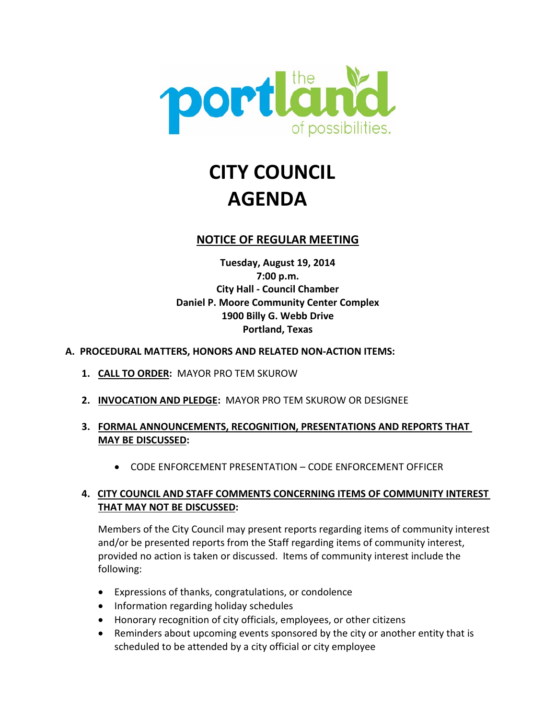

# **CITY COUNCIL AGENDA**

# **NOTICE OF REGULAR MEETING**

**Tuesday, August 19, 2014 7:00 p.m. City Hall - Council Chamber Daniel P. Moore Community Center Complex 1900 Billy G. Webb Drive Portland, Texas**

#### **A. PROCEDURAL MATTERS, HONORS AND RELATED NON-ACTION ITEMS:**

- **1. CALL TO ORDER:** MAYOR PRO TEM SKUROW
- **2. INVOCATION AND PLEDGE:** MAYOR PRO TEM SKUROW OR DESIGNEE
- **3. FORMAL ANNOUNCEMENTS, RECOGNITION, PRESENTATIONS AND REPORTS THAT MAY BE DISCUSSED:**
	- CODE ENFORCEMENT PRESENTATION CODE ENFORCEMENT OFFICER

# **4. CITY COUNCIL AND STAFF COMMENTS CONCERNING ITEMS OF COMMUNITY INTEREST THAT MAY NOT BE DISCUSSED:**

Members of the City Council may present reports regarding items of community interest and/or be presented reports from the Staff regarding items of community interest, provided no action is taken or discussed. Items of community interest include the following:

- Expressions of thanks, congratulations, or condolence
- Information regarding holiday schedules
- Honorary recognition of city officials, employees, or other citizens
- Reminders about upcoming events sponsored by the city or another entity that is scheduled to be attended by a city official or city employee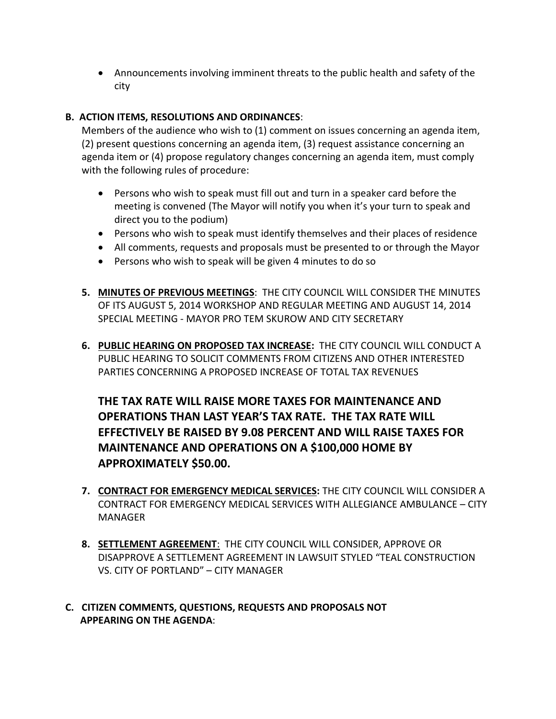• Announcements involving imminent threats to the public health and safety of the city

# **B. ACTION ITEMS, RESOLUTIONS AND ORDINANCES**:

Members of the audience who wish to (1) comment on issues concerning an agenda item, (2) present questions concerning an agenda item, (3) request assistance concerning an agenda item or (4) propose regulatory changes concerning an agenda item, must comply with the following rules of procedure:

- Persons who wish to speak must fill out and turn in a speaker card before the meeting is convened (The Mayor will notify you when it's your turn to speak and direct you to the podium)
- Persons who wish to speak must identify themselves and their places of residence
- All comments, requests and proposals must be presented to or through the Mayor
- Persons who wish to speak will be given 4 minutes to do so
- **5. MINUTES OF PREVIOUS MEETINGS**: THE CITY COUNCIL WILL CONSIDER THE MINUTES OF ITS AUGUST 5, 2014 WORKSHOP AND REGULAR MEETING AND AUGUST 14, 2014 SPECIAL MEETING - MAYOR PRO TEM SKUROW AND CITY SECRETARY
- **6. PUBLIC HEARING ON PROPOSED TAX INCREASE:** THE CITY COUNCIL WILL CONDUCT A PUBLIC HEARING TO SOLICIT COMMENTS FROM CITIZENS AND OTHER INTERESTED PARTIES CONCERNING A PROPOSED INCREASE OF TOTAL TAX REVENUES

**THE TAX RATE WILL RAISE MORE TAXES FOR MAINTENANCE AND OPERATIONS THAN LAST YEAR'S TAX RATE. THE TAX RATE WILL EFFECTIVELY BE RAISED BY 9.08 PERCENT AND WILL RAISE TAXES FOR MAINTENANCE AND OPERATIONS ON A \$100,000 HOME BY APPROXIMATELY \$50.00.**

- **7. CONTRACT FOR EMERGENCY MEDICAL SERVICES:** THE CITY COUNCIL WILL CONSIDER A CONTRACT FOR EMERGENCY MEDICAL SERVICES WITH ALLEGIANCE AMBULANCE – CITY MANAGER
- **8. SETTLEMENT AGREEMENT**:THE CITY COUNCIL WILL CONSIDER, APPROVE OR DISAPPROVE A SETTLEMENT AGREEMENT IN LAWSUIT STYLED "TEAL CONSTRUCTION VS. CITY OF PORTLAND" – CITY MANAGER
- **C. CITIZEN COMMENTS, QUESTIONS, REQUESTS AND PROPOSALS NOT APPEARING ON THE AGENDA**: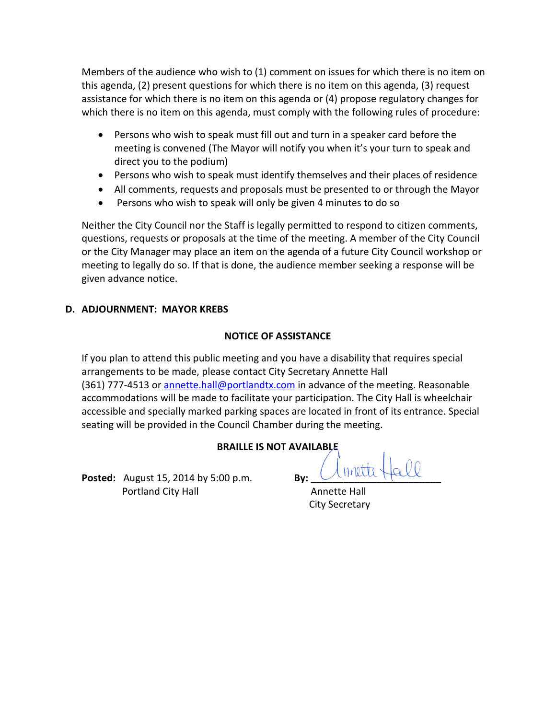Members of the audience who wish to (1) comment on issues for which there is no item on this agenda, (2) present questions for which there is no item on this agenda, (3) request assistance for which there is no item on this agenda or (4) propose regulatory changes for which there is no item on this agenda, must comply with the following rules of procedure:

- Persons who wish to speak must fill out and turn in a speaker card before the meeting is convened (The Mayor will notify you when it's your turn to speak and direct you to the podium)
- Persons who wish to speak must identify themselves and their places of residence
- All comments, requests and proposals must be presented to or through the Mayor
- Persons who wish to speak will only be given 4 minutes to do so

Neither the City Council nor the Staff is legally permitted to respond to citizen comments, questions, requests or proposals at the time of the meeting. A member of the City Council or the City Manager may place an item on the agenda of a future City Council workshop or meeting to legally do so. If that is done, the audience member seeking a response will be given advance notice.

# **D. ADJOURNMENT: MAYOR KREBS**

# **NOTICE OF ASSISTANCE**

If you plan to attend this public meeting and you have a disability that requires special arrangements to be made, please contact City Secretary Annette Hall (361) 777-4513 or annette.hall@portlandtx.com in advance of the meeting. Reasonable accommodations will be made to facilitate your participation. The City Hall is wheelchair accessible and specially marked parking spaces are located in front of its entrance. Special seating will be provided in the Council Chamber during the meeting.

# **BRAILLE IS NOT AVAILABLE**

**Posted:** August 15, 2014 by 5:00 p.m. **By:** Unittle **Portland City Hall Annette Hall** 

City Secretary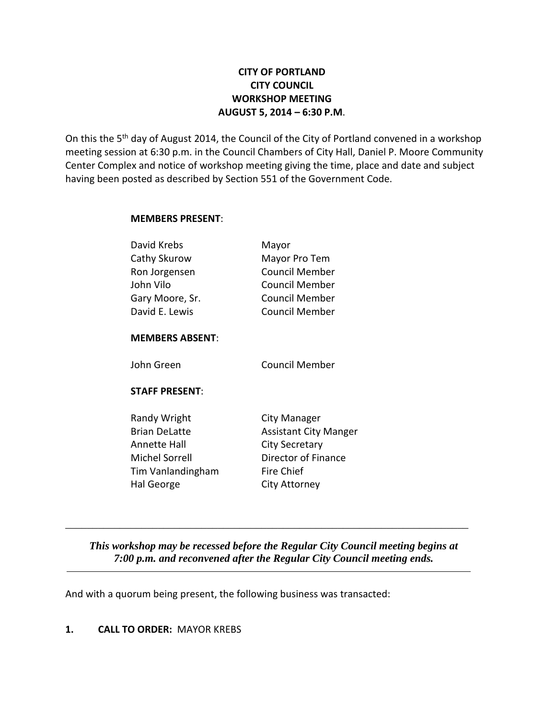# **CITY OF PORTLAND CITY COUNCIL WORKSHOP MEETING AUGUST 5, 2014 – 6:30 P.M**.

On this the 5<sup>th</sup> day of August 2014, the Council of the City of Portland convened in a workshop meeting session at 6:30 p.m. in the Council Chambers of City Hall, Daniel P. Moore Community Center Complex and notice of workshop meeting giving the time, place and date and subject having been posted as described by Section 551 of the Government Code.

#### **MEMBERS PRESENT**:

| David Krebs            | Mayor                        |
|------------------------|------------------------------|
| Cathy Skurow           | Mayor Pro Tem                |
| Ron Jorgensen          | Council Member               |
| John Vilo              | <b>Council Member</b>        |
| Gary Moore, Sr.        | <b>Council Member</b>        |
| David E. Lewis         | <b>Council Member</b>        |
| <b>MEMBERS ABSENT:</b> |                              |
| John Green             | <b>Council Member</b>        |
| <b>STAFF PRESENT:</b>  |                              |
| Randy Wright           | City Manager                 |
| <b>Brian DeLatte</b>   | <b>Assistant City Manger</b> |
| Annette Hall           | City Secretary               |
| Michel Sorrell         | Director of Finance          |
| Tim Vanlandingham      | Fire Chief                   |
| Hal George             | City Attorney                |
|                        |                              |

*This workshop may be recessed before the Regular City Council meeting begins at 7:00 p.m. and reconvened after the Regular City Council meeting ends.*

\_\_\_\_\_\_\_\_\_\_\_\_\_\_\_\_\_\_\_\_\_\_\_\_\_\_\_\_\_\_\_\_\_\_\_\_\_\_\_\_\_\_\_\_\_\_\_\_\_\_\_\_\_\_\_\_\_\_\_\_\_\_\_\_\_\_\_\_\_\_\_\_\_\_

And with a quorum being present, the following business was transacted:

## **1. CALL TO ORDER:** MAYOR KREBS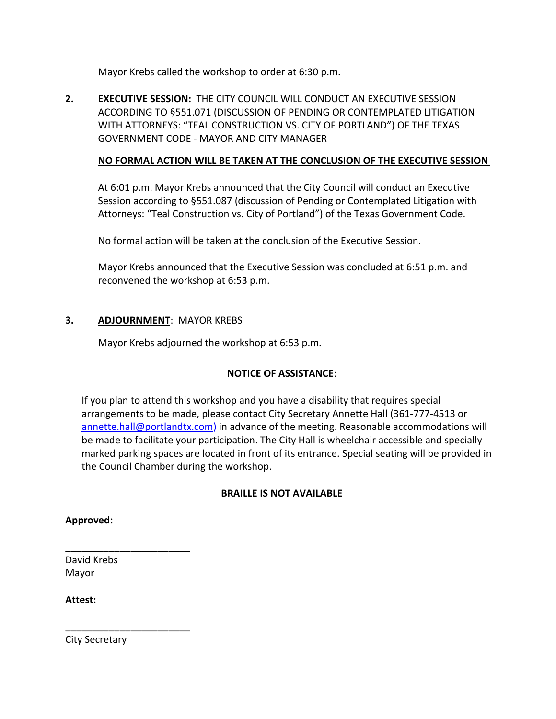Mayor Krebs called the workshop to order at 6:30 p.m.

**2. EXECUTIVE SESSION:** THE CITY COUNCIL WILL CONDUCT AN EXECUTIVE SESSION ACCORDING TO §551.071 (DISCUSSION OF PENDING OR CONTEMPLATED LITIGATION WITH ATTORNEYS: "TEAL CONSTRUCTION VS. CITY OF PORTLAND") OF THE TEXAS GOVERNMENT CODE - MAYOR AND CITY MANAGER

## **NO FORMAL ACTION WILL BE TAKEN AT THE CONCLUSION OF THE EXECUTIVE SESSION**

At 6:01 p.m. Mayor Krebs announced that the City Council will conduct an Executive Session according to §551.087 (discussion of Pending or Contemplated Litigation with Attorneys: "Teal Construction vs. City of Portland") of the Texas Government Code.

No formal action will be taken at the conclusion of the Executive Session.

Mayor Krebs announced that the Executive Session was concluded at 6:51 p.m. and reconvened the workshop at 6:53 p.m.

#### **3. ADJOURNMENT**: MAYOR KREBS

Mayor Krebs adjourned the workshop at 6:53 p.m.

# **NOTICE OF ASSISTANCE**:

If you plan to attend this workshop and you have a disability that requires special arrangements to be made, please contact City Secretary Annette Hall (361-777-4513 or [annette.hall@portlandtx.com\)](mailto:arodriguez@portlandtx.com) in advance of the meeting. Reasonable accommodations will be made to facilitate your participation. The City Hall is wheelchair accessible and specially marked parking spaces are located in front of its entrance. Special seating will be provided in the Council Chamber during the workshop.

#### **BRAILLE IS NOT AVAILABLE**

#### **Approved:**

David Krebs Mayor

\_\_\_\_\_\_\_\_\_\_\_\_\_\_\_\_\_\_\_\_\_\_\_

\_\_\_\_\_\_\_\_\_\_\_\_\_\_\_\_\_\_\_\_\_\_\_

**Attest:**

City Secretary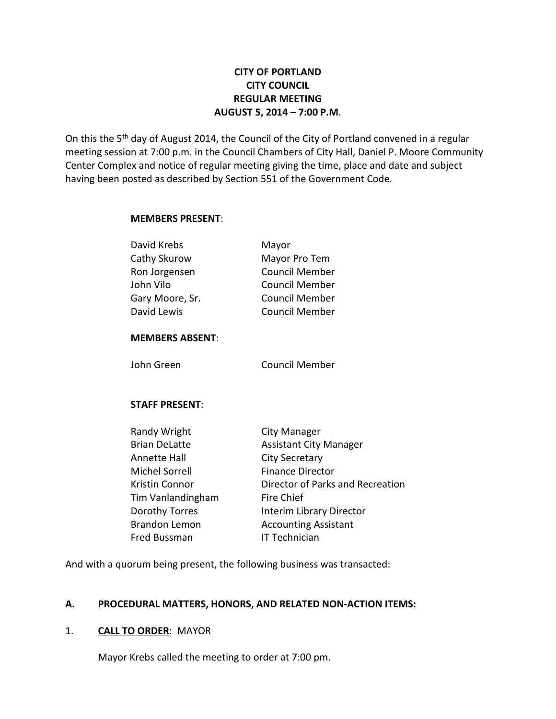# **CITY OF PORTLAND CITY COUNCIL REGULAR MEETING AUGUST 5, 2014 – 7:00 P.M**.

On this the 5<sup>th</sup> day of August 2014, the Council of the City of Portland convened in a regular meeting session at 7:00 p.m. in the Council Chambers of City Hall, Daniel P. Moore Community Center Complex and notice of regular meeting giving the time, place and date and subject having been posted as described by Section 551 of the Government Code.

#### **MEMBERS PRESENT**:

| David Krebs     | Mayor                 |
|-----------------|-----------------------|
| Cathy Skurow    | Mayor Pro Tem         |
| Ron Jorgensen   | <b>Council Member</b> |
| John Vilo       | <b>Council Member</b> |
| Gary Moore, Sr. | <b>Council Member</b> |
| David Lewis     | <b>Council Member</b> |
|                 |                       |

#### **MEMBERS ABSENT**:

John Green Council Member

#### **STAFF PRESENT**:

| <b>City Manager</b>              |
|----------------------------------|
| <b>Assistant City Manager</b>    |
| <b>City Secretary</b>            |
| <b>Finance Director</b>          |
| Director of Parks and Recreation |
| Fire Chief                       |
| Interim Library Director         |
| <b>Accounting Assistant</b>      |
| <b>IT Technician</b>             |
|                                  |

And with a quorum being present, the following business was transacted:

#### **A. PROCEDURAL MATTERS, HONORS, AND RELATED NON-ACTION ITEMS:**

#### 1. **CALL TO ORDER**: MAYOR

Mayor Krebs called the meeting to order at 7:00 pm.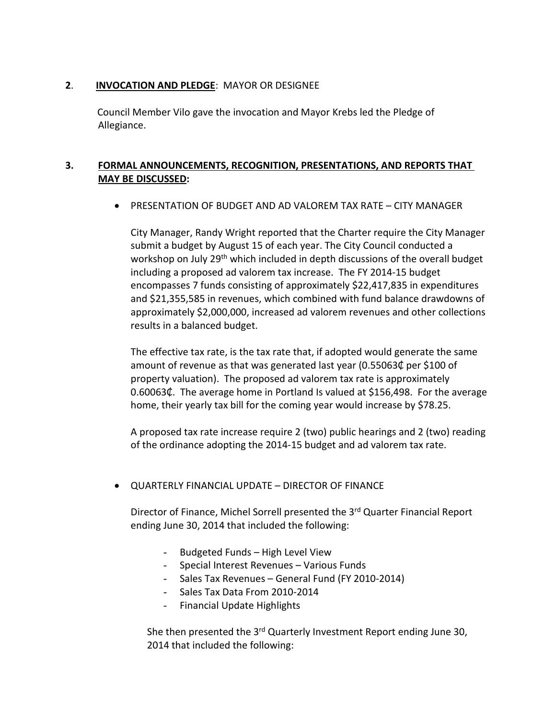#### **2**. **INVOCATION AND PLEDGE**: MAYOR OR DESIGNEE

 Council Member Vilo gave the invocation and Mayor Krebs led the Pledge of Allegiance.

# **3. FORMAL ANNOUNCEMENTS, RECOGNITION, PRESENTATIONS, AND REPORTS THAT MAY BE DISCUSSED:**

• PRESENTATION OF BUDGET AND AD VALOREM TAX RATE – CITY MANAGER

City Manager, Randy Wright reported that the Charter require the City Manager submit a budget by August 15 of each year. The City Council conducted a workshop on July 29<sup>th</sup> which included in depth discussions of the overall budget including a proposed ad valorem tax increase. The FY 2014-15 budget encompasses 7 funds consisting of approximately \$22,417,835 in expenditures and \$21,355,585 in revenues, which combined with fund balance drawdowns of approximately \$2,000,000, increased ad valorem revenues and other collections results in a balanced budget.

The effective tax rate, is the tax rate that, if adopted would generate the same amount of revenue as that was generated last year (0.55063¢ per \$100 of property valuation). The proposed ad valorem tax rate is approximately 0.60063₵. The average home in Portland Is valued at \$156,498. For the average home, their yearly tax bill for the coming year would increase by \$78.25.

A proposed tax rate increase require 2 (two) public hearings and 2 (two) reading of the ordinance adopting the 2014-15 budget and ad valorem tax rate.

• QUARTERLY FINANCIAL UPDATE – DIRECTOR OF FINANCE

Director of Finance, Michel Sorrell presented the 3<sup>rd</sup> Quarter Financial Report ending June 30, 2014 that included the following:

- Budgeted Funds High Level View
- Special Interest Revenues Various Funds
- Sales Tax Revenues General Fund (FY 2010-2014)
- Sales Tax Data From 2010-2014
- Financial Update Highlights

She then presented the 3<sup>rd</sup> Quarterly Investment Report ending June 30, 2014 that included the following: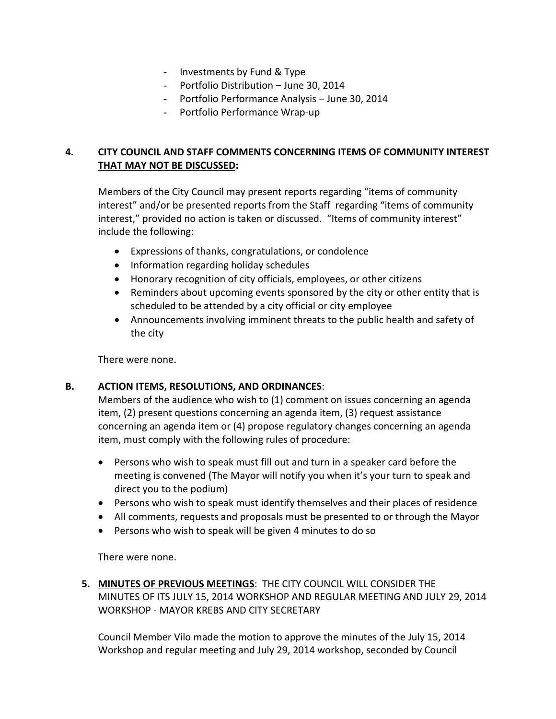- Investments by Fund & Type
- Portfolio Distribution June 30, 2014
- Portfolio Performance Analysis June 30, 2014
- Portfolio Performance Wrap-up

# **4. CITY COUNCIL AND STAFF COMMENTS CONCERNING ITEMS OF COMMUNITY INTEREST THAT MAY NOT BE DISCUSSED:**

Members of the City Council may present reports regarding "items of community interest" and/or be presented reports from the Staff regarding "items of community interest," provided no action is taken or discussed. "Items of community interest" include the following:

- Expressions of thanks, congratulations, or condolence
- Information regarding holiday schedules
- Honorary recognition of city officials, employees, or other citizens
- Reminders about upcoming events sponsored by the city or other entity that is scheduled to be attended by a city official or city employee
- Announcements involving imminent threats to the public health and safety of the city

There were none.

#### **B. ACTION ITEMS, RESOLUTIONS, AND ORDINANCES**:

Members of the audience who wish to (1) comment on issues concerning an agenda item, (2) present questions concerning an agenda item, (3) request assistance concerning an agenda item or (4) propose regulatory changes concerning an agenda item, must comply with the following rules of procedure:

- Persons who wish to speak must fill out and turn in a speaker card before the meeting is convened (The Mayor will notify you when it's your turn to speak and direct you to the podium)
- Persons who wish to speak must identify themselves and their places of residence
- All comments, requests and proposals must be presented to or through the Mayor
- Persons who wish to speak will be given 4 minutes to do so

There were none.

**5. MINUTES OF PREVIOUS MEETINGS**: THE CITY COUNCIL WILL CONSIDER THE MINUTES OF ITS JULY 15, 2014 WORKSHOP AND REGULAR MEETING AND JULY 29, 2014 WORKSHOP - MAYOR KREBS AND CITY SECRETARY

Council Member Vilo made the motion to approve the minutes of the July 15, 2014 Workshop and regular meeting and July 29, 2014 workshop, seconded by Council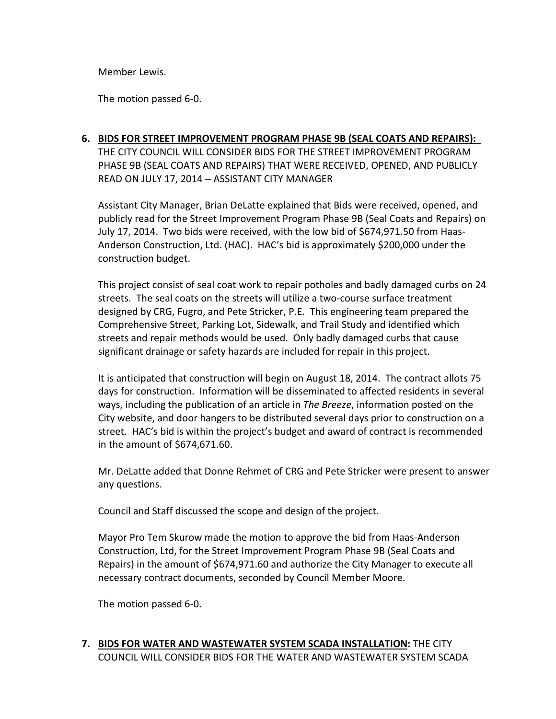Member Lewis.

The motion passed 6-0.

# **6. BIDS FOR STREET IMPROVEMENT PROGRAM PHASE 9B (SEAL COATS AND REPAIRS):**  THE CITY COUNCIL WILL CONSIDER BIDS FOR THE STREET IMPROVEMENT PROGRAM PHASE 9B (SEAL COATS AND REPAIRS) THAT WERE RECEIVED, OPENED, AND PUBLICLY READ ON JULY 17, 2014 – ASSISTANT CITY MANAGER

Assistant City Manager, Brian DeLatte explained that Bids were received, opened, and publicly read for the Street Improvement Program Phase 9B (Seal Coats and Repairs) on July 17, 2014. Two bids were received, with the low bid of \$674,971.50 from Haas-Anderson Construction, Ltd. (HAC). HAC's bid is approximately \$200,000 under the construction budget.

This project consist of seal coat work to repair potholes and badly damaged curbs on 24 streets. The seal coats on the streets will utilize a two-course surface treatment designed by CRG, Fugro, and Pete Stricker, P.E. This engineering team prepared the Comprehensive Street, Parking Lot, Sidewalk, and Trail Study and identified which streets and repair methods would be used. Only badly damaged curbs that cause significant drainage or safety hazards are included for repair in this project.

It is anticipated that construction will begin on August 18, 2014. The contract allots 75 days for construction. Information will be disseminated to affected residents in several ways, including the publication of an article in *The Breeze*, information posted on the City website, and door hangers to be distributed several days prior to construction on a street. HAC's bid is within the project's budget and award of contract is recommended in the amount of \$674,671.60.

Mr. DeLatte added that Donne Rehmet of CRG and Pete Stricker were present to answer any questions.

Council and Staff discussed the scope and design of the project.

Mayor Pro Tem Skurow made the motion to approve the bid from Haas-Anderson Construction, Ltd, for the Street Improvement Program Phase 9B (Seal Coats and Repairs) in the amount of \$674,971.60 and authorize the City Manager to execute all necessary contract documents, seconded by Council Member Moore.

The motion passed 6-0.

**7. BIDS FOR WATER AND WASTEWATER SYSTEM SCADA INSTALLATION:** THE CITY COUNCIL WILL CONSIDER BIDS FOR THE WATER AND WASTEWATER SYSTEM SCADA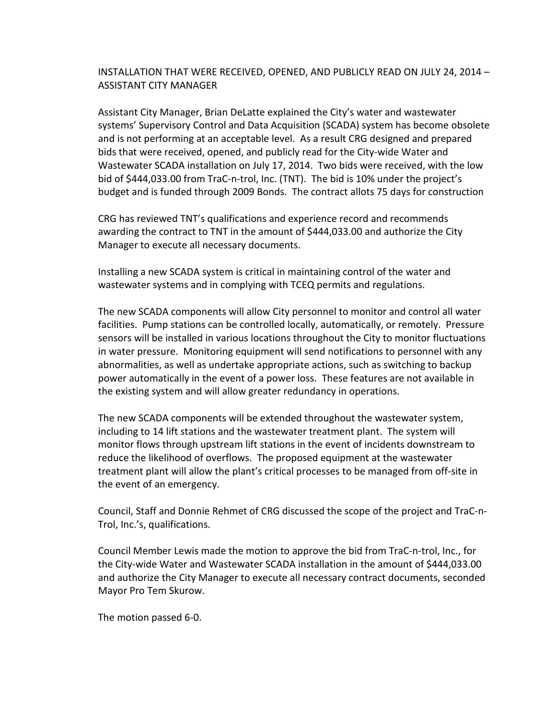## INSTALLATION THAT WERE RECEIVED, OPENED, AND PUBLICLY READ ON JULY 24, 2014 – ASSISTANT CITY MANAGER

Assistant City Manager, Brian DeLatte explained the City's water and wastewater systems' Supervisory Control and Data Acquisition (SCADA) system has become obsolete and is not performing at an acceptable level. As a result CRG designed and prepared bids that were received, opened, and publicly read for the City-wide Water and Wastewater SCADA installation on July 17, 2014. Two bids were received, with the low bid of \$444,033.00 from TraC-n-trol, Inc. (TNT). The bid is 10% under the project's budget and is funded through 2009 Bonds. The contract allots 75 days for construction

CRG has reviewed TNT's qualifications and experience record and recommends awarding the contract to TNT in the amount of \$444,033.00 and authorize the City Manager to execute all necessary documents.

Installing a new SCADA system is critical in maintaining control of the water and wastewater systems and in complying with TCEQ permits and regulations.

The new SCADA components will allow City personnel to monitor and control all water facilities. Pump stations can be controlled locally, automatically, or remotely. Pressure sensors will be installed in various locations throughout the City to monitor fluctuations in water pressure. Monitoring equipment will send notifications to personnel with any abnormalities, as well as undertake appropriate actions, such as switching to backup power automatically in the event of a power loss. These features are not available in the existing system and will allow greater redundancy in operations.

The new SCADA components will be extended throughout the wastewater system, including to 14 lift stations and the wastewater treatment plant. The system will monitor flows through upstream lift stations in the event of incidents downstream to reduce the likelihood of overflows. The proposed equipment at the wastewater treatment plant will allow the plant's critical processes to be managed from off-site in the event of an emergency.

Council, Staff and Donnie Rehmet of CRG discussed the scope of the project and TraC-n-Trol, Inc.'s, qualifications.

Council Member Lewis made the motion to approve the bid from TraC-n-trol, Inc., for the City-wide Water and Wastewater SCADA installation in the amount of \$444,033.00 and authorize the City Manager to execute all necessary contract documents, seconded Mayor Pro Tem Skurow.

The motion passed 6-0.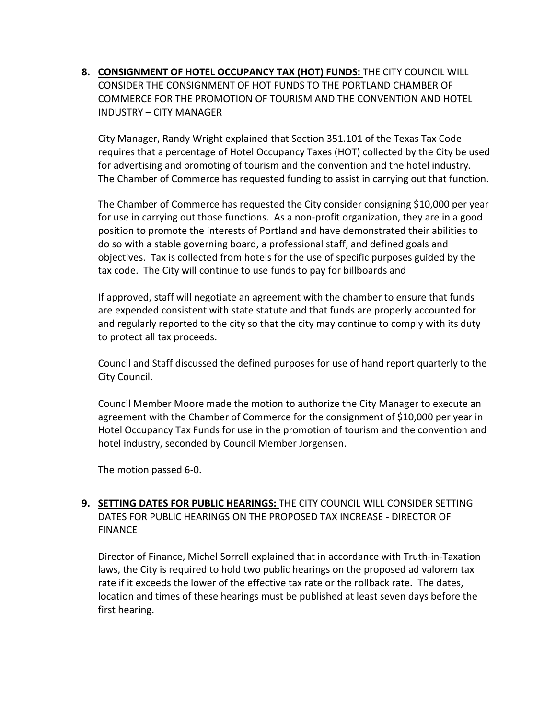**8. CONSIGNMENT OF HOTEL OCCUPANCY TAX (HOT) FUNDS:** THE CITY COUNCIL WILL CONSIDER THE CONSIGNMENT OF HOT FUNDS TO THE PORTLAND CHAMBER OF COMMERCE FOR THE PROMOTION OF TOURISM AND THE CONVENTION AND HOTEL INDUSTRY – CITY MANAGER

City Manager, Randy Wright explained that Section 351.101 of the Texas Tax Code requires that a percentage of Hotel Occupancy Taxes (HOT) collected by the City be used for advertising and promoting of tourism and the convention and the hotel industry. The Chamber of Commerce has requested funding to assist in carrying out that function.

The Chamber of Commerce has requested the City consider consigning \$10,000 per year for use in carrying out those functions. As a non-profit organization, they are in a good position to promote the interests of Portland and have demonstrated their abilities to do so with a stable governing board, a professional staff, and defined goals and objectives. Tax is collected from hotels for the use of specific purposes guided by the tax code. The City will continue to use funds to pay for billboards and

If approved, staff will negotiate an agreement with the chamber to ensure that funds are expended consistent with state statute and that funds are properly accounted for and regularly reported to the city so that the city may continue to comply with its duty to protect all tax proceeds.

Council and Staff discussed the defined purposes for use of hand report quarterly to the City Council.

Council Member Moore made the motion to authorize the City Manager to execute an agreement with the Chamber of Commerce for the consignment of \$10,000 per year in Hotel Occupancy Tax Funds for use in the promotion of tourism and the convention and hotel industry, seconded by Council Member Jorgensen.

The motion passed 6-0.

# **9. SETTING DATES FOR PUBLIC HEARINGS:** THE CITY COUNCIL WILL CONSIDER SETTING DATES FOR PUBLIC HEARINGS ON THE PROPOSED TAX INCREASE - DIRECTOR OF FINANCE

Director of Finance, Michel Sorrell explained that in accordance with Truth-in-Taxation laws, the City is required to hold two public hearings on the proposed ad valorem tax rate if it exceeds the lower of the effective tax rate or the rollback rate. The dates, location and times of these hearings must be published at least seven days before the first hearing.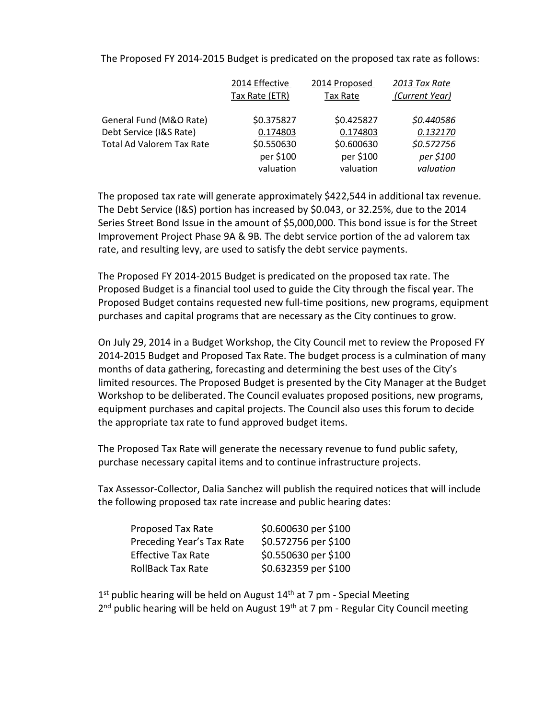The Proposed FY 2014-2015 Budget is predicated on the proposed tax rate as follows:

|                                  | 2014 Effective | 2014 Proposed | 2013 Tax Rate  |
|----------------------------------|----------------|---------------|----------------|
|                                  | Tax Rate (ETR) | Tax Rate      | (Current Year) |
| General Fund (M&O Rate)          | \$0.375827     | \$0.425827    | \$0.440586     |
| Debt Service (I&S Rate)          | 0.174803       | 0.174803      | 0.132170       |
| <b>Total Ad Valorem Tax Rate</b> | \$0.550630     | \$0.600630    | \$0.572756     |
|                                  | per \$100      | per \$100     | per \$100      |
|                                  | valuation      | valuation     | valuation      |

The proposed tax rate will generate approximately \$422,544 in additional tax revenue. The Debt Service (I&S) portion has increased by \$0.043, or 32.25%, due to the 2014 Series Street Bond Issue in the amount of \$5,000,000. This bond issue is for the Street Improvement Project Phase 9A & 9B. The debt service portion of the ad valorem tax rate, and resulting levy, are used to satisfy the debt service payments.

The Proposed FY 2014-2015 Budget is predicated on the proposed tax rate. The Proposed Budget is a financial tool used to guide the City through the fiscal year. The Proposed Budget contains requested new full-time positions, new programs, equipment purchases and capital programs that are necessary as the City continues to grow.

On July 29, 2014 in a Budget Workshop, the City Council met to review the Proposed FY 2014-2015 Budget and Proposed Tax Rate. The budget process is a culmination of many months of data gathering, forecasting and determining the best uses of the City's limited resources. The Proposed Budget is presented by the City Manager at the Budget Workshop to be deliberated. The Council evaluates proposed positions, new programs, equipment purchases and capital projects. The Council also uses this forum to decide the appropriate tax rate to fund approved budget items.

The Proposed Tax Rate will generate the necessary revenue to fund public safety, purchase necessary capital items and to continue infrastructure projects.

Tax Assessor-Collector, Dalia Sanchez will publish the required notices that will include the following proposed tax rate increase and public hearing dates:

| Proposed Tax Rate         | \$0.600630 per \$100 |
|---------------------------|----------------------|
| Preceding Year's Tax Rate | \$0.572756 per \$100 |
| <b>Effective Tax Rate</b> | \$0.550630 per \$100 |
| <b>RollBack Tax Rate</b>  | \$0.632359 per \$100 |

 $1<sup>st</sup>$  public hearing will be held on August  $14<sup>th</sup>$  at 7 pm - Special Meeting  $2<sup>nd</sup>$  public hearing will be held on August 19<sup>th</sup> at 7 pm - Regular City Council meeting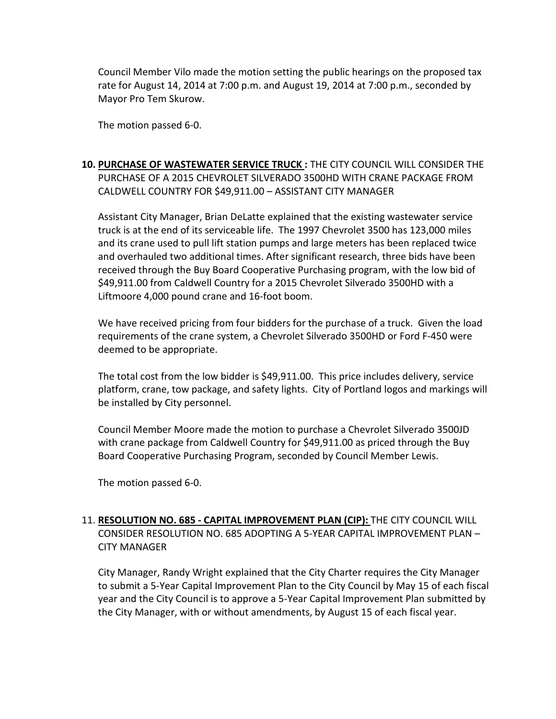Council Member Vilo made the motion setting the public hearings on the proposed tax rate for August 14, 2014 at 7:00 p.m. and August 19, 2014 at 7:00 p.m., seconded by Mayor Pro Tem Skurow.

The motion passed 6-0.

# **10. PURCHASE OF WASTEWATER SERVICE TRUCK :** THE CITY COUNCIL WILL CONSIDER THE PURCHASE OF A 2015 CHEVROLET SILVERADO 3500HD WITH CRANE PACKAGE FROM CALDWELL COUNTRY FOR \$49,911.00 – ASSISTANT CITY MANAGER

Assistant City Manager, Brian DeLatte explained that the existing wastewater service truck is at the end of its serviceable life. The 1997 Chevrolet 3500 has 123,000 miles and its crane used to pull lift station pumps and large meters has been replaced twice and overhauled two additional times. After significant research, three bids have been received through the Buy Board Cooperative Purchasing program, with the low bid of \$49,911.00 from Caldwell Country for a 2015 Chevrolet Silverado 3500HD with a Liftmoore 4,000 pound crane and 16-foot boom.

We have received pricing from four bidders for the purchase of a truck. Given the load requirements of the crane system, a Chevrolet Silverado 3500HD or Ford F-450 were deemed to be appropriate.

The total cost from the low bidder is \$49,911.00. This price includes delivery, service platform, crane, tow package, and safety lights. City of Portland logos and markings will be installed by City personnel.

Council Member Moore made the motion to purchase a Chevrolet Silverado 3500JD with crane package from Caldwell Country for \$49,911.00 as priced through the Buy Board Cooperative Purchasing Program, seconded by Council Member Lewis.

The motion passed 6-0.

# 11. **RESOLUTION NO. 685 - CAPITAL IMPROVEMENT PLAN (CIP):** THE CITY COUNCIL WILL CONSIDER RESOLUTION NO. 685 ADOPTING A 5-YEAR CAPITAL IMPROVEMENT PLAN – CITY MANAGER

City Manager, Randy Wright explained that the City Charter requires the City Manager to submit a 5-Year Capital Improvement Plan to the City Council by May 15 of each fiscal year and the City Council is to approve a 5-Year Capital Improvement Plan submitted by the City Manager, with or without amendments, by August 15 of each fiscal year.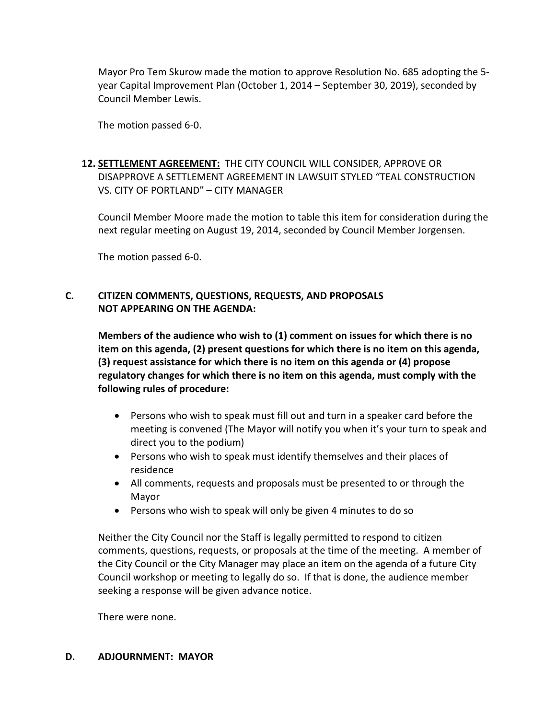Mayor Pro Tem Skurow made the motion to approve Resolution No. 685 adopting the 5 year Capital Improvement Plan (October 1, 2014 – September 30, 2019), seconded by Council Member Lewis.

The motion passed 6-0.

# **12. SETTLEMENT AGREEMENT:** THE CITY COUNCIL WILL CONSIDER, APPROVE OR DISAPPROVE A SETTLEMENT AGREEMENT IN LAWSUIT STYLED "TEAL CONSTRUCTION VS. CITY OF PORTLAND" – CITY MANAGER

Council Member Moore made the motion to table this item for consideration during the next regular meeting on August 19, 2014, seconded by Council Member Jorgensen.

The motion passed 6-0.

## **C. CITIZEN COMMENTS, QUESTIONS, REQUESTS, AND PROPOSALS NOT APPEARING ON THE AGENDA:**

**Members of the audience who wish to (1) comment on issues for which there is no item on this agenda, (2) present questions for which there is no item on this agenda, (3) request assistance for which there is no item on this agenda or (4) propose regulatory changes for which there is no item on this agenda, must comply with the following rules of procedure:** 

- Persons who wish to speak must fill out and turn in a speaker card before the meeting is convened (The Mayor will notify you when it's your turn to speak and direct you to the podium)
- Persons who wish to speak must identify themselves and their places of residence
- All comments, requests and proposals must be presented to or through the Mayor
- Persons who wish to speak will only be given 4 minutes to do so

Neither the City Council nor the Staff is legally permitted to respond to citizen comments, questions, requests, or proposals at the time of the meeting. A member of the City Council or the City Manager may place an item on the agenda of a future City Council workshop or meeting to legally do so. If that is done, the audience member seeking a response will be given advance notice.

There were none.

#### **D. ADJOURNMENT: MAYOR**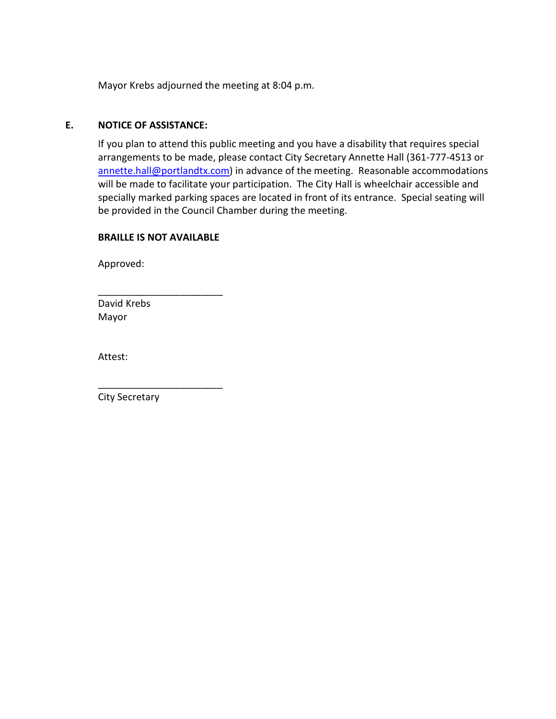Mayor Krebs adjourned the meeting at 8:04 p.m.

#### **E. NOTICE OF ASSISTANCE:**

If you plan to attend this public meeting and you have a disability that requires special arrangements to be made, please contact City Secretary Annette Hall (361-777-4513 or [annette.hall@portlandtx.com\)](mailto:annette.hall@portlandtx.com) in advance of the meeting. Reasonable accommodations will be made to facilitate your participation. The City Hall is wheelchair accessible and specially marked parking spaces are located in front of its entrance. Special seating will be provided in the Council Chamber during the meeting.

#### **BRAILLE IS NOT AVAILABLE**

\_\_\_\_\_\_\_\_\_\_\_\_\_\_\_\_\_\_\_\_\_\_\_

\_\_\_\_\_\_\_\_\_\_\_\_\_\_\_\_\_\_\_\_\_\_\_

Approved:

David Krebs Mayor

Attest:

City Secretary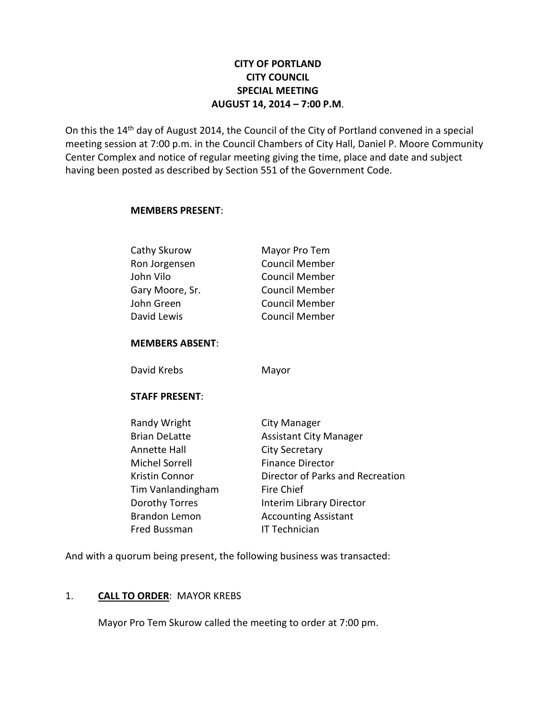# **CITY OF PORTLAND CITY COUNCIL SPECIAL MEETING AUGUST 14, 2014 – 7:00 P.M**.

On this the 14<sup>th</sup> day of August 2014, the Council of the City of Portland convened in a special meeting session at 7:00 p.m. in the Council Chambers of City Hall, Daniel P. Moore Community Center Complex and notice of regular meeting giving the time, place and date and subject having been posted as described by Section 551 of the Government Code.

#### **MEMBERS PRESENT**:

| Mayor Pro Tem         |
|-----------------------|
| <b>Council Member</b> |
| <b>Council Member</b> |
| <b>Council Member</b> |
| <b>Council Member</b> |
| <b>Council Member</b> |
|                       |

#### **MEMBERS ABSENT**:

David Krebs Mayor

#### **STAFF PRESENT**:

| City Manager                     |
|----------------------------------|
| <b>Assistant City Manager</b>    |
| <b>City Secretary</b>            |
| <b>Finance Director</b>          |
| Director of Parks and Recreation |
| Fire Chief                       |
| Interim Library Director         |
| <b>Accounting Assistant</b>      |
| <b>IT Technician</b>             |
|                                  |

And with a quorum being present, the following business was transacted:

# 1. **CALL TO ORDER**: MAYOR KREBS

Mayor Pro Tem Skurow called the meeting to order at 7:00 pm.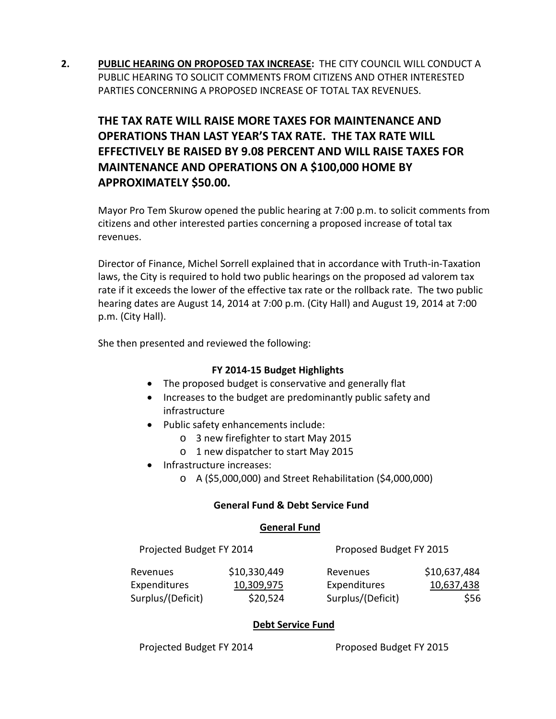**2. PUBLIC HEARING ON PROPOSED TAX INCREASE:** THE CITY COUNCIL WILL CONDUCT A PUBLIC HEARING TO SOLICIT COMMENTS FROM CITIZENS AND OTHER INTERESTED PARTIES CONCERNING A PROPOSED INCREASE OF TOTAL TAX REVENUES.

# **THE TAX RATE WILL RAISE MORE TAXES FOR MAINTENANCE AND OPERATIONS THAN LAST YEAR'S TAX RATE. THE TAX RATE WILL EFFECTIVELY BE RAISED BY 9.08 PERCENT AND WILL RAISE TAXES FOR MAINTENANCE AND OPERATIONS ON A \$100,000 HOME BY APPROXIMATELY \$50.00.**

Mayor Pro Tem Skurow opened the public hearing at 7:00 p.m. to solicit comments from citizens and other interested parties concerning a proposed increase of total tax revenues.

Director of Finance, Michel Sorrell explained that in accordance with Truth-in-Taxation laws, the City is required to hold two public hearings on the proposed ad valorem tax rate if it exceeds the lower of the effective tax rate or the rollback rate. The two public hearing dates are August 14, 2014 at 7:00 p.m. (City Hall) and August 19, 2014 at 7:00 p.m. (City Hall).

She then presented and reviewed the following:

# **FY 2014-15 Budget Highlights**

- The proposed budget is conservative and generally flat
- Increases to the budget are predominantly public safety and infrastructure
- Public safety enhancements include:
	- o 3 new firefighter to start May 2015
	- o 1 new dispatcher to start May 2015
- Infrastructure increases:
	- o A (\$5,000,000) and Street Rehabilitation (\$4,000,000)

#### **General Fund & Debt Service Fund**

#### **General Fund**

Projected Budget FY 2014 Proposed Budget FY 2015

| Revenues            | \$10,330,449 | Revenues          | \$10,637,484 |
|---------------------|--------------|-------------------|--------------|
| <b>Expenditures</b> | 10,309,975   | Expenditures      | 10,637,438   |
| Surplus/(Deficit)   | \$20,524     | Surplus/(Deficit) | \$56         |

# **Debt Service Fund**

Projected Budget FY 2014 Proposed Budget FY 2015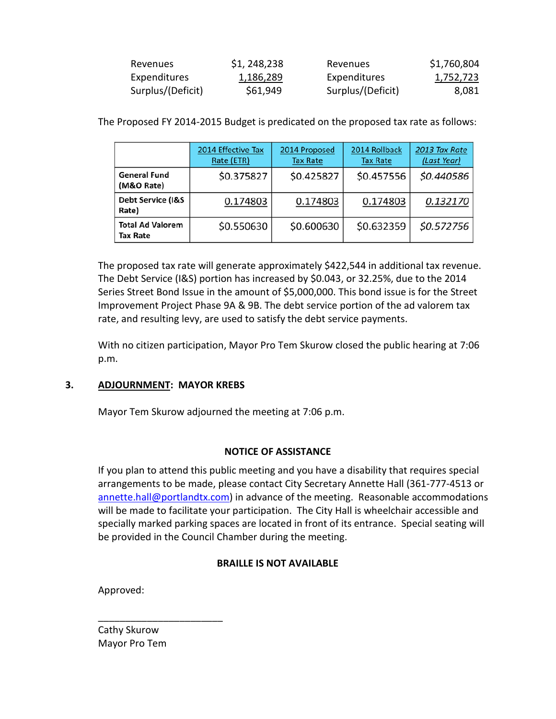| Revenues          | \$1, 248, 238 | Revenues          | \$1,760,804      |
|-------------------|---------------|-------------------|------------------|
| Expenditures      | 1,186,289     | Expenditures      | <u>1,752,723</u> |
| Surplus/(Deficit) | \$61,949      | Surplus/(Deficit) | 8,081            |

|                                       | 2014 Effective Tax<br>Rate (ETR) | 2014 Proposed<br><b>Tax Rate</b> | 2014 Rollback<br><b>Tax Rate</b> | 2013 Tax Rate<br>(Last Year) |
|---------------------------------------|----------------------------------|----------------------------------|----------------------------------|------------------------------|
| <b>General Fund</b><br>(M&O Rate)     | \$0.375827                       | \$0.425827                       | \$0.457556                       | \$0.440586                   |
| <b>Debt Service (I&amp;S</b><br>Rate) | 0.174803                         | 0.174803                         | 0.174803                         | 0.132170                     |
| <b>Total Ad Valorem</b><br>Tax Rate   | \$0.550630                       | \$0.600630                       | \$0.632359                       | \$0.572756                   |

The Proposed FY 2014-2015 Budget is predicated on the proposed tax rate as follows:

The proposed tax rate will generate approximately \$422,544 in additional tax revenue. The Debt Service (I&S) portion has increased by \$0.043, or 32.25%, due to the 2014 Series Street Bond Issue in the amount of \$5,000,000. This bond issue is for the Street Improvement Project Phase 9A & 9B. The debt service portion of the ad valorem tax rate, and resulting levy, are used to satisfy the debt service payments.

With no citizen participation, Mayor Pro Tem Skurow closed the public hearing at 7:06 p.m.

#### **3. ADJOURNMENT: MAYOR KREBS**

Mayor Tem Skurow adjourned the meeting at 7:06 p.m.

#### **NOTICE OF ASSISTANCE**

If you plan to attend this public meeting and you have a disability that requires special arrangements to be made, please contact City Secretary Annette Hall (361-777-4513 or [annette.hall@portlandtx.com\)](mailto:annette.hall@portlandtx.com) in advance of the meeting. Reasonable accommodations will be made to facilitate your participation. The City Hall is wheelchair accessible and specially marked parking spaces are located in front of its entrance. Special seating will be provided in the Council Chamber during the meeting.

# **BRAILLE IS NOT AVAILABLE**

Approved:

Cathy Skurow Mayor Pro Tem

\_\_\_\_\_\_\_\_\_\_\_\_\_\_\_\_\_\_\_\_\_\_\_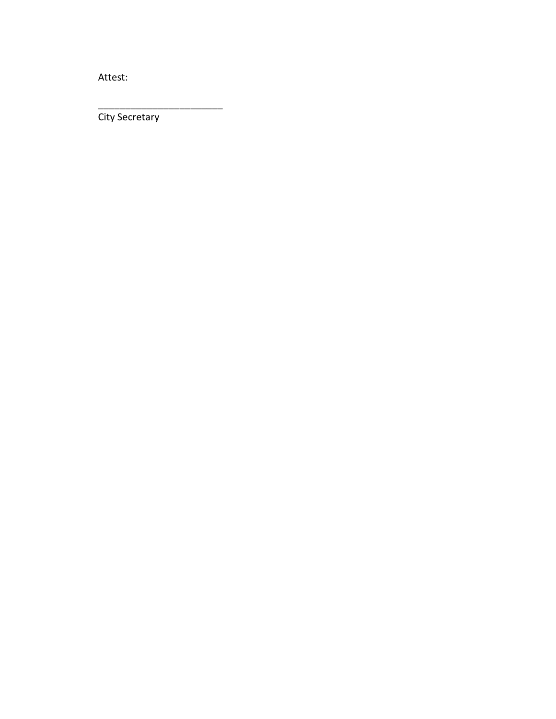Attest:

City Secretary

\_\_\_\_\_\_\_\_\_\_\_\_\_\_\_\_\_\_\_\_\_\_\_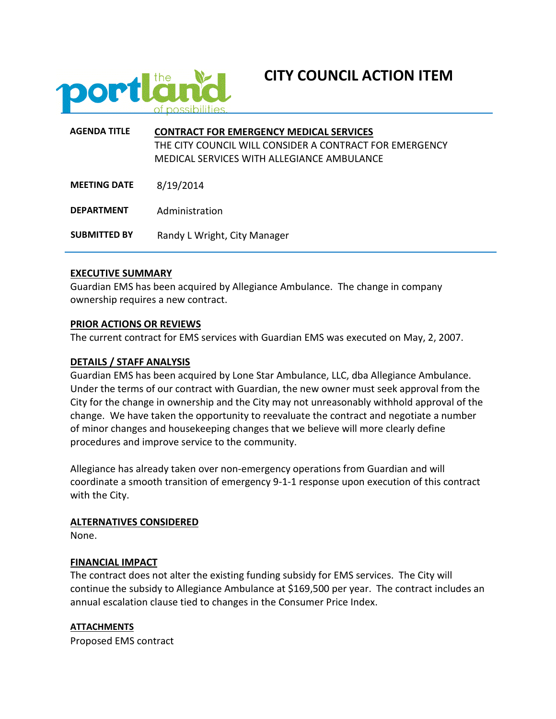

# **CITY COUNCIL ACTION ITEM**

| <b>AGFNDA TITLF</b> | <b>CONTRACT FOR EMERGENCY MEDICAL SERVICES</b><br>THE CITY COUNCIL WILL CONSIDER A CONTRACT FOR EMERGENCY<br>MEDICAL SERVICES WITH ALLEGIANCE AMBULANCE |
|---------------------|---------------------------------------------------------------------------------------------------------------------------------------------------------|
| <b>MEETING DATE</b> | 8/19/2014                                                                                                                                               |
| <b>DEPARTMENT</b>   | Administration                                                                                                                                          |
| <b>SUBMITTED BY</b> | Randy L Wright, City Manager                                                                                                                            |

#### **EXECUTIVE SUMMARY**

Guardian EMS has been acquired by Allegiance Ambulance. The change in company ownership requires a new contract.

#### **PRIOR ACTIONS OR REVIEWS**

The current contract for EMS services with Guardian EMS was executed on May, 2, 2007.

#### **DETAILS / STAFF ANALYSIS**

Guardian EMS has been acquired by Lone Star Ambulance, LLC, dba Allegiance Ambulance. Under the terms of our contract with Guardian, the new owner must seek approval from the City for the change in ownership and the City may not unreasonably withhold approval of the change. We have taken the opportunity to reevaluate the contract and negotiate a number of minor changes and housekeeping changes that we believe will more clearly define procedures and improve service to the community.

Allegiance has already taken over non-emergency operations from Guardian and will coordinate a smooth transition of emergency 9-1-1 response upon execution of this contract with the City.

#### **ALTERNATIVES CONSIDERED**

None.

#### **FINANCIAL IMPACT**

The contract does not alter the existing funding subsidy for EMS services. The City will continue the subsidy to Allegiance Ambulance at \$169,500 per year. The contract includes an annual escalation clause tied to changes in the Consumer Price Index.

#### **ATTACHMENTS**

Proposed EMS contract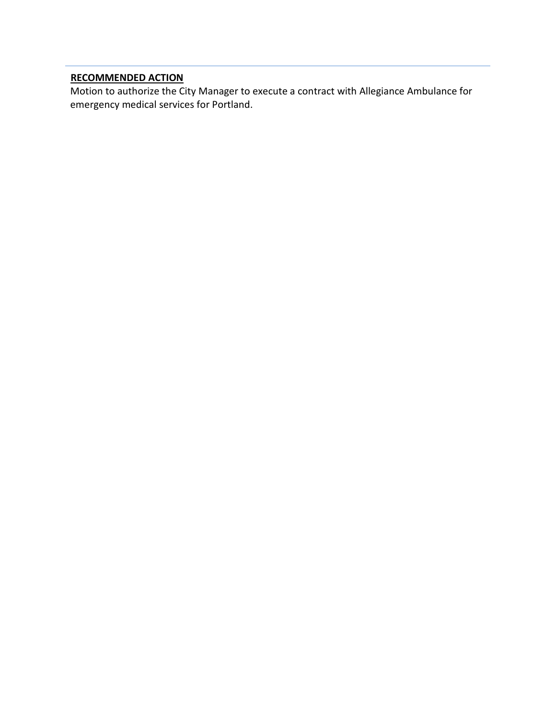# **RECOMMENDED ACTION**

Motion to authorize the City Manager to execute a contract with Allegiance Ambulance for emergency medical services for Portland.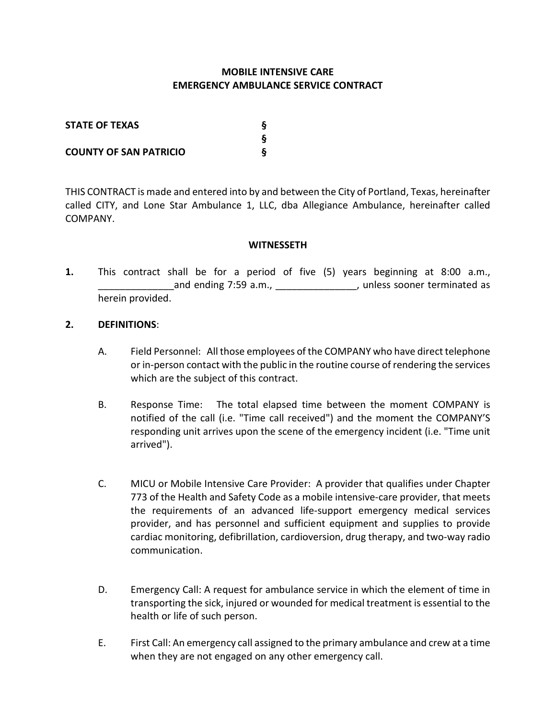# **MOBILE INTENSIVE CARE EMERGENCY AMBULANCE SERVICE CONTRACT**

| <b>STATE OF TEXAS</b>         |  |
|-------------------------------|--|
|                               |  |
| <b>COUNTY OF SAN PATRICIO</b> |  |

THIS CONTRACT is made and entered into by and between the City of Portland, Texas, hereinafter called CITY, and Lone Star Ambulance 1, LLC, dba Allegiance Ambulance, hereinafter called COMPANY.

#### **WITNESSETH**

**1.** This contract shall be for a period of five (5) years beginning at 8:00 a.m., and ending 7:59 a.m., \_\_\_\_\_\_\_\_\_\_\_\_\_\_\_\_, unless sooner terminated as herein provided.

#### **2. DEFINITIONS**:

- A. Field Personnel: All those employees of the COMPANY who have direct telephone or in-person contact with the public in the routine course of rendering the services which are the subject of this contract.
- B. Response Time: The total elapsed time between the moment COMPANY is notified of the call (i.e. "Time call received") and the moment the COMPANY'S responding unit arrives upon the scene of the emergency incident (i.e. "Time unit arrived").
- C. MICU or Mobile Intensive Care Provider: A provider that qualifies under Chapter 773 of the Health and Safety Code as a mobile intensive-care provider, that meets the requirements of an advanced life-support emergency medical services provider, and has personnel and sufficient equipment and supplies to provide cardiac monitoring, defibrillation, cardioversion, drug therapy, and two-way radio communication.
- D. Emergency Call: A request for ambulance service in which the element of time in transporting the sick, injured or wounded for medical treatment is essential to the health or life of such person.
- E. First Call: An emergency call assigned to the primary ambulance and crew at a time when they are not engaged on any other emergency call.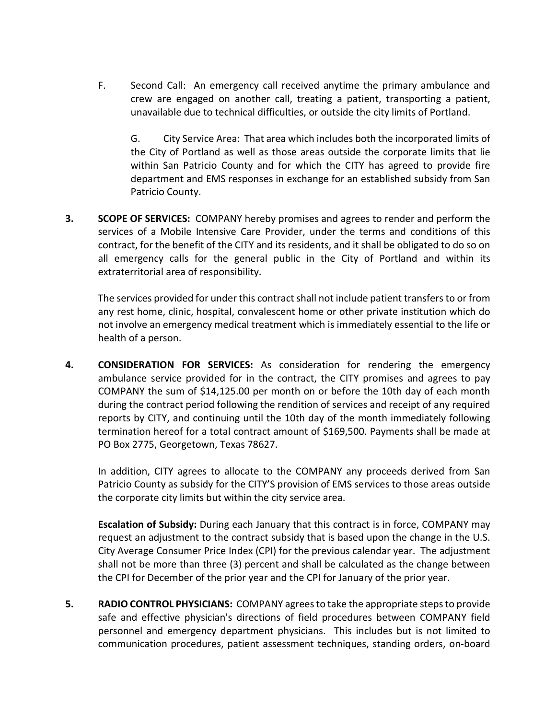F. Second Call: An emergency call received anytime the primary ambulance and crew are engaged on another call, treating a patient, transporting a patient, unavailable due to technical difficulties, or outside the city limits of Portland.

G. City Service Area: That area which includes both the incorporated limits of the City of Portland as well as those areas outside the corporate limits that lie within San Patricio County and for which the CITY has agreed to provide fire department and EMS responses in exchange for an established subsidy from San Patricio County.

**3. SCOPE OF SERVICES:** COMPANY hereby promises and agrees to render and perform the services of a Mobile Intensive Care Provider, under the terms and conditions of this contract, for the benefit of the CITY and its residents, and it shall be obligated to do so on all emergency calls for the general public in the City of Portland and within its extraterritorial area of responsibility.

The services provided for under this contract shall not include patient transfers to or from any rest home, clinic, hospital, convalescent home or other private institution which do not involve an emergency medical treatment which is immediately essential to the life or health of a person.

**4. CONSIDERATION FOR SERVICES:** As consideration for rendering the emergency ambulance service provided for in the contract, the CITY promises and agrees to pay COMPANY the sum of \$14,125.00 per month on or before the 10th day of each month during the contract period following the rendition of services and receipt of any required reports by CITY, and continuing until the 10th day of the month immediately following termination hereof for a total contract amount of \$169,500. Payments shall be made at PO Box 2775, Georgetown, Texas 78627.

In addition, CITY agrees to allocate to the COMPANY any proceeds derived from San Patricio County as subsidy for the CITY'S provision of EMS services to those areas outside the corporate city limits but within the city service area.

**Escalation of Subsidy:** During each January that this contract is in force, COMPANY may request an adjustment to the contract subsidy that is based upon the change in the U.S. City Average Consumer Price Index (CPI) for the previous calendar year. The adjustment shall not be more than three (3) percent and shall be calculated as the change between the CPI for December of the prior year and the CPI for January of the prior year.

**5. RADIO CONTROL PHYSICIANS:** COMPANY agrees to take the appropriate steps to provide safe and effective physician's directions of field procedures between COMPANY field personnel and emergency department physicians. This includes but is not limited to communication procedures, patient assessment techniques, standing orders, on-board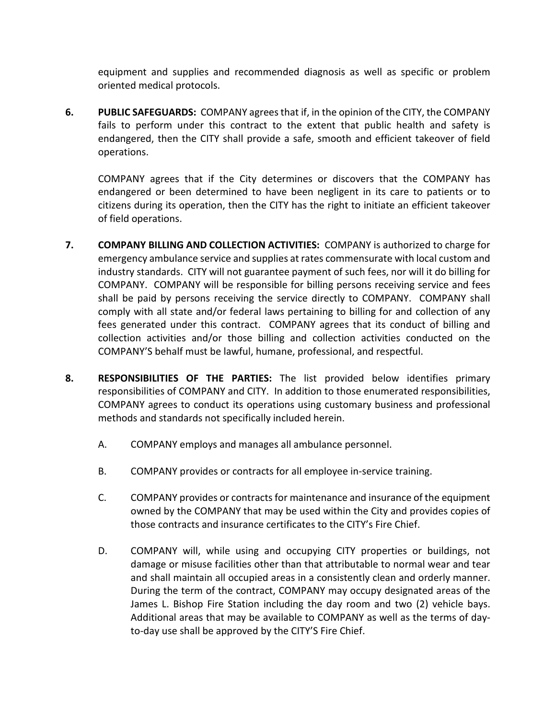equipment and supplies and recommended diagnosis as well as specific or problem oriented medical protocols.

**6. PUBLIC SAFEGUARDS:** COMPANY agrees that if, in the opinion of the CITY, the COMPANY fails to perform under this contract to the extent that public health and safety is endangered, then the CITY shall provide a safe, smooth and efficient takeover of field operations.

COMPANY agrees that if the City determines or discovers that the COMPANY has endangered or been determined to have been negligent in its care to patients or to citizens during its operation, then the CITY has the right to initiate an efficient takeover of field operations.

- **7. COMPANY BILLING AND COLLECTION ACTIVITIES:** COMPANY is authorized to charge for emergency ambulance service and supplies at rates commensurate with local custom and industry standards. CITY will not guarantee payment of such fees, nor will it do billing for COMPANY. COMPANY will be responsible for billing persons receiving service and fees shall be paid by persons receiving the service directly to COMPANY. COMPANY shall comply with all state and/or federal laws pertaining to billing for and collection of any fees generated under this contract. COMPANY agrees that its conduct of billing and collection activities and/or those billing and collection activities conducted on the COMPANY'S behalf must be lawful, humane, professional, and respectful.
- **8. RESPONSIBILITIES OF THE PARTIES:** The list provided below identifies primary responsibilities of COMPANY and CITY. In addition to those enumerated responsibilities, COMPANY agrees to conduct its operations using customary business and professional methods and standards not specifically included herein.
	- A. COMPANY employs and manages all ambulance personnel.
	- B. COMPANY provides or contracts for all employee in-service training.
	- C. COMPANY provides or contracts for maintenance and insurance of the equipment owned by the COMPANY that may be used within the City and provides copies of those contracts and insurance certificates to the CITY's Fire Chief.
	- D. COMPANY will, while using and occupying CITY properties or buildings, not damage or misuse facilities other than that attributable to normal wear and tear and shall maintain all occupied areas in a consistently clean and orderly manner. During the term of the contract, COMPANY may occupy designated areas of the James L. Bishop Fire Station including the day room and two (2) vehicle bays. Additional areas that may be available to COMPANY as well as the terms of dayto-day use shall be approved by the CITY'S Fire Chief.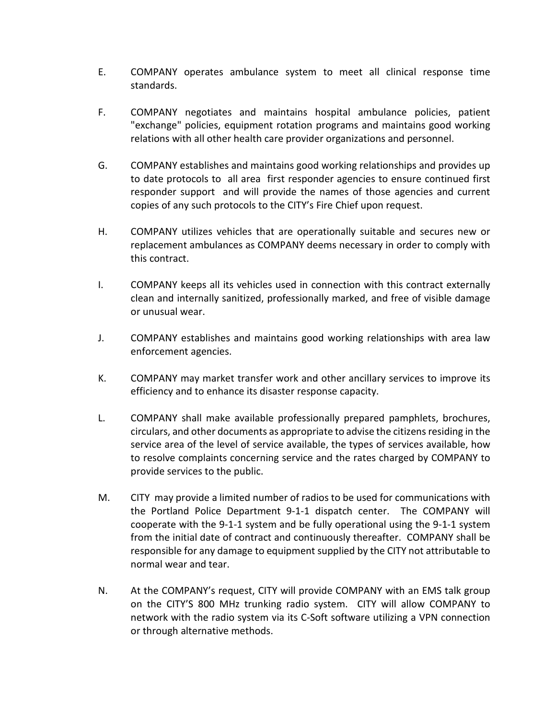- E. COMPANY operates ambulance system to meet all clinical response time standards.
- F. COMPANY negotiates and maintains hospital ambulance policies, patient "exchange" policies, equipment rotation programs and maintains good working relations with all other health care provider organizations and personnel.
- G. COMPANY establishes and maintains good working relationships and provides up to date protocols to all area first responder agencies to ensure continued first responder support and will provide the names of those agencies and current copies of any such protocols to the CITY's Fire Chief upon request.
- H. COMPANY utilizes vehicles that are operationally suitable and secures new or replacement ambulances as COMPANY deems necessary in order to comply with this contract.
- I. COMPANY keeps all its vehicles used in connection with this contract externally clean and internally sanitized, professionally marked, and free of visible damage or unusual wear.
- J. COMPANY establishes and maintains good working relationships with area law enforcement agencies.
- K. COMPANY may market transfer work and other ancillary services to improve its efficiency and to enhance its disaster response capacity.
- L. COMPANY shall make available professionally prepared pamphlets, brochures, circulars, and other documents as appropriate to advise the citizens residing in the service area of the level of service available, the types of services available, how to resolve complaints concerning service and the rates charged by COMPANY to provide services to the public.
- M. CITY may provide a limited number of radios to be used for communications with the Portland Police Department 9-1-1 dispatch center. The COMPANY will cooperate with the 9-1-1 system and be fully operational using the 9-1-1 system from the initial date of contract and continuously thereafter. COMPANY shall be responsible for any damage to equipment supplied by the CITY not attributable to normal wear and tear.
- N. At the COMPANY's request, CITY will provide COMPANY with an EMS talk group on the CITY'S 800 MHz trunking radio system. CITY will allow COMPANY to network with the radio system via its C-Soft software utilizing a VPN connection or through alternative methods.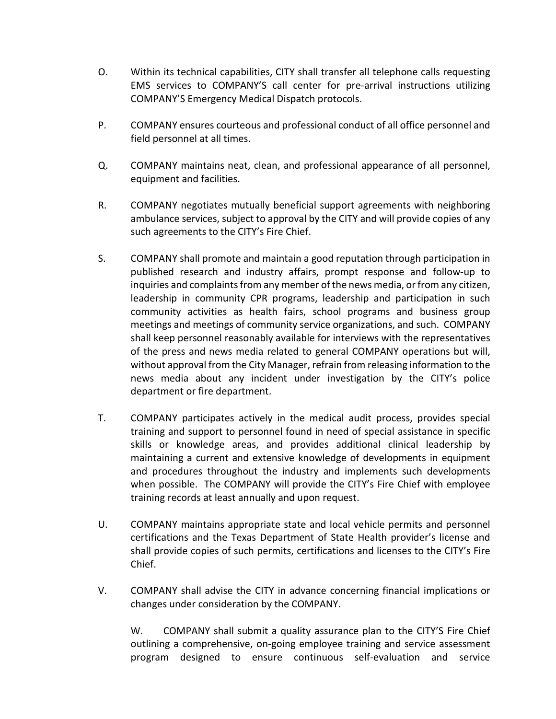- O. Within its technical capabilities, CITY shall transfer all telephone calls requesting EMS services to COMPANY'S call center for pre-arrival instructions utilizing COMPANY'S Emergency Medical Dispatch protocols.
- P. COMPANY ensures courteous and professional conduct of all office personnel and field personnel at all times.
- Q. COMPANY maintains neat, clean, and professional appearance of all personnel, equipment and facilities.
- R. COMPANY negotiates mutually beneficial support agreements with neighboring ambulance services, subject to approval by the CITY and will provide copies of any such agreements to the CITY's Fire Chief.
- S. COMPANY shall promote and maintain a good reputation through participation in published research and industry affairs, prompt response and follow-up to inquiries and complaints from any member of the news media, or from any citizen, leadership in community CPR programs, leadership and participation in such community activities as health fairs, school programs and business group meetings and meetings of community service organizations, and such. COMPANY shall keep personnel reasonably available for interviews with the representatives of the press and news media related to general COMPANY operations but will, without approval from the City Manager, refrain from releasing information to the news media about any incident under investigation by the CITY's police department or fire department.
- T. COMPANY participates actively in the medical audit process, provides special training and support to personnel found in need of special assistance in specific skills or knowledge areas, and provides additional clinical leadership by maintaining a current and extensive knowledge of developments in equipment and procedures throughout the industry and implements such developments when possible. The COMPANY will provide the CITY's Fire Chief with employee training records at least annually and upon request.
- U. COMPANY maintains appropriate state and local vehicle permits and personnel certifications and the Texas Department of State Health provider's license and shall provide copies of such permits, certifications and licenses to the CITY's Fire Chief.
- V. COMPANY shall advise the CITY in advance concerning financial implications or changes under consideration by the COMPANY.

W. COMPANY shall submit a quality assurance plan to the CITY'S Fire Chief outlining a comprehensive, on-going employee training and service assessment program designed to ensure continuous self-evaluation and service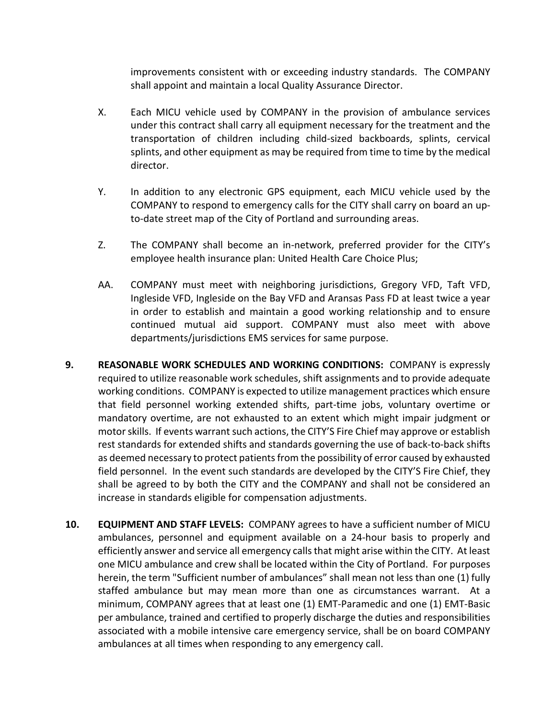improvements consistent with or exceeding industry standards. The COMPANY shall appoint and maintain a local Quality Assurance Director.

- X. Each MICU vehicle used by COMPANY in the provision of ambulance services under this contract shall carry all equipment necessary for the treatment and the transportation of children including child-sized backboards, splints, cervical splints, and other equipment as may be required from time to time by the medical director.
- Y. In addition to any electronic GPS equipment, each MICU vehicle used by the COMPANY to respond to emergency calls for the CITY shall carry on board an upto-date street map of the City of Portland and surrounding areas.
- Z. The COMPANY shall become an in-network, preferred provider for the CITY's employee health insurance plan: United Health Care Choice Plus;
- AA. COMPANY must meet with neighboring jurisdictions, Gregory VFD, Taft VFD, Ingleside VFD, Ingleside on the Bay VFD and Aransas Pass FD at least twice a year in order to establish and maintain a good working relationship and to ensure continued mutual aid support. COMPANY must also meet with above departments/jurisdictions EMS services for same purpose.
- **9. REASONABLE WORK SCHEDULES AND WORKING CONDITIONS:** COMPANY is expressly required to utilize reasonable work schedules, shift assignments and to provide adequate working conditions. COMPANY is expected to utilize management practices which ensure that field personnel working extended shifts, part-time jobs, voluntary overtime or mandatory overtime, are not exhausted to an extent which might impair judgment or motor skills. If events warrant such actions, the CITY'S Fire Chief may approve or establish rest standards for extended shifts and standards governing the use of back-to-back shifts as deemed necessary to protect patients from the possibility of error caused by exhausted field personnel. In the event such standards are developed by the CITY'S Fire Chief, they shall be agreed to by both the CITY and the COMPANY and shall not be considered an increase in standards eligible for compensation adjustments.
- **10. EQUIPMENT AND STAFF LEVELS:** COMPANY agrees to have a sufficient number of MICU ambulances, personnel and equipment available on a 24-hour basis to properly and efficiently answer and service all emergency calls that might arise within the CITY. At least one MICU ambulance and crew shall be located within the City of Portland. For purposes herein, the term "Sufficient number of ambulances" shall mean not less than one (1) fully staffed ambulance but may mean more than one as circumstances warrant. At a minimum, COMPANY agrees that at least one (1) EMT-Paramedic and one (1) EMT-Basic per ambulance, trained and certified to properly discharge the duties and responsibilities associated with a mobile intensive care emergency service, shall be on board COMPANY ambulances at all times when responding to any emergency call.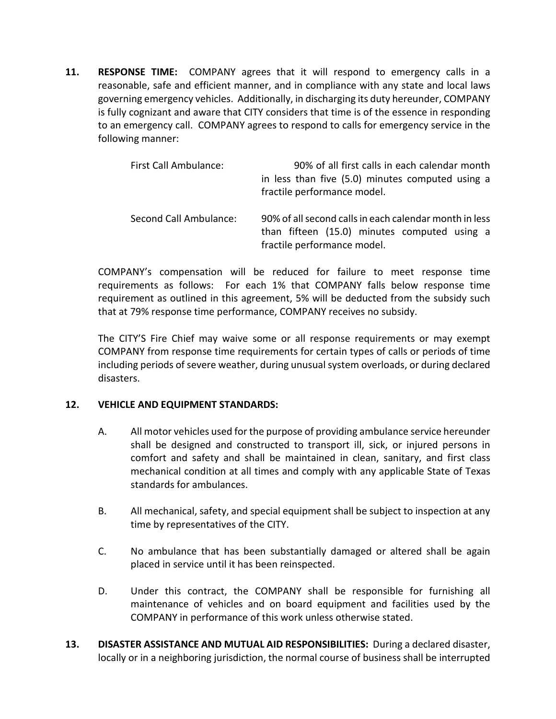**11. RESPONSE TIME:** COMPANY agrees that it will respond to emergency calls in a reasonable, safe and efficient manner, and in compliance with any state and local laws governing emergency vehicles. Additionally, in discharging its duty hereunder, COMPANY is fully cognizant and aware that CITY considers that time is of the essence in responding to an emergency call. COMPANY agrees to respond to calls for emergency service in the following manner:

| First Call Ambulance:  | 90% of all first calls in each calendar month<br>in less than five (5.0) minutes computed using a<br>fractile performance model.      |
|------------------------|---------------------------------------------------------------------------------------------------------------------------------------|
| Second Call Ambulance: | 90% of all second calls in each calendar month in less<br>than fifteen (15.0) minutes computed using a<br>fractile performance model. |

COMPANY's compensation will be reduced for failure to meet response time requirements as follows: For each 1% that COMPANY falls below response time requirement as outlined in this agreement, 5% will be deducted from the subsidy such that at 79% response time performance, COMPANY receives no subsidy.

The CITY'S Fire Chief may waive some or all response requirements or may exempt COMPANY from response time requirements for certain types of calls or periods of time including periods of severe weather, during unusual system overloads, or during declared disasters.

# **12. VEHICLE AND EQUIPMENT STANDARDS:**

- A. All motor vehicles used for the purpose of providing ambulance service hereunder shall be designed and constructed to transport ill, sick, or injured persons in comfort and safety and shall be maintained in clean, sanitary, and first class mechanical condition at all times and comply with any applicable State of Texas standards for ambulances.
- B. All mechanical, safety, and special equipment shall be subject to inspection at any time by representatives of the CITY.
- C. No ambulance that has been substantially damaged or altered shall be again placed in service until it has been reinspected.
- D. Under this contract, the COMPANY shall be responsible for furnishing all maintenance of vehicles and on board equipment and facilities used by the COMPANY in performance of this work unless otherwise stated.
- **13. DISASTER ASSISTANCE AND MUTUAL AID RESPONSIBILITIES:** During a declared disaster, locally or in a neighboring jurisdiction, the normal course of business shall be interrupted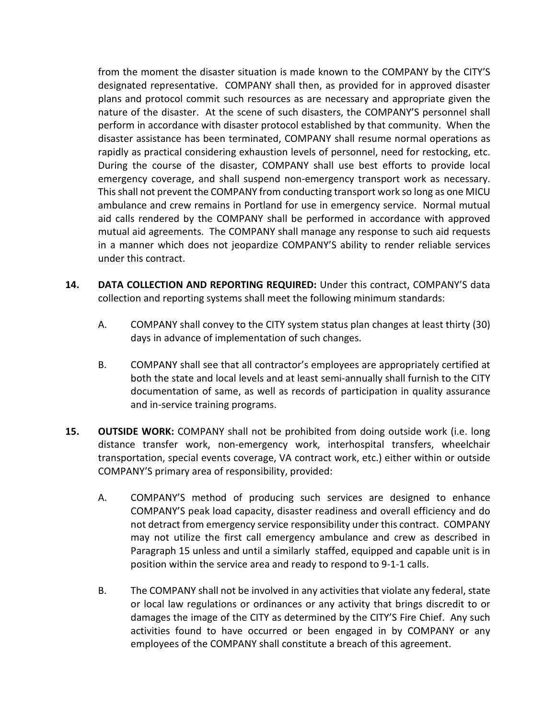from the moment the disaster situation is made known to the COMPANY by the CITY'S designated representative. COMPANY shall then, as provided for in approved disaster plans and protocol commit such resources as are necessary and appropriate given the nature of the disaster. At the scene of such disasters, the COMPANY'S personnel shall perform in accordance with disaster protocol established by that community. When the disaster assistance has been terminated, COMPANY shall resume normal operations as rapidly as practical considering exhaustion levels of personnel, need for restocking, etc. During the course of the disaster, COMPANY shall use best efforts to provide local emergency coverage, and shall suspend non-emergency transport work as necessary. This shall not prevent the COMPANY from conducting transport work so long as one MICU ambulance and crew remains in Portland for use in emergency service. Normal mutual aid calls rendered by the COMPANY shall be performed in accordance with approved mutual aid agreements. The COMPANY shall manage any response to such aid requests in a manner which does not jeopardize COMPANY'S ability to render reliable services under this contract.

- **14. DATA COLLECTION AND REPORTING REQUIRED:** Under this contract, COMPANY'S data collection and reporting systems shall meet the following minimum standards:
	- A. COMPANY shall convey to the CITY system status plan changes at least thirty (30) days in advance of implementation of such changes.
	- B. COMPANY shall see that all contractor's employees are appropriately certified at both the state and local levels and at least semi-annually shall furnish to the CITY documentation of same, as well as records of participation in quality assurance and in-service training programs.
- **15. OUTSIDE WORK:** COMPANY shall not be prohibited from doing outside work (i.e. long distance transfer work, non-emergency work, interhospital transfers, wheelchair transportation, special events coverage, VA contract work, etc.) either within or outside COMPANY'S primary area of responsibility, provided:
	- A. COMPANY'S method of producing such services are designed to enhance COMPANY'S peak load capacity, disaster readiness and overall efficiency and do not detract from emergency service responsibility under this contract. COMPANY may not utilize the first call emergency ambulance and crew as described in Paragraph 15 unless and until a similarly staffed, equipped and capable unit is in position within the service area and ready to respond to 9-1-1 calls.
	- B. The COMPANY shall not be involved in any activities that violate any federal, state or local law regulations or ordinances or any activity that brings discredit to or damages the image of the CITY as determined by the CITY'S Fire Chief. Any such activities found to have occurred or been engaged in by COMPANY or any employees of the COMPANY shall constitute a breach of this agreement.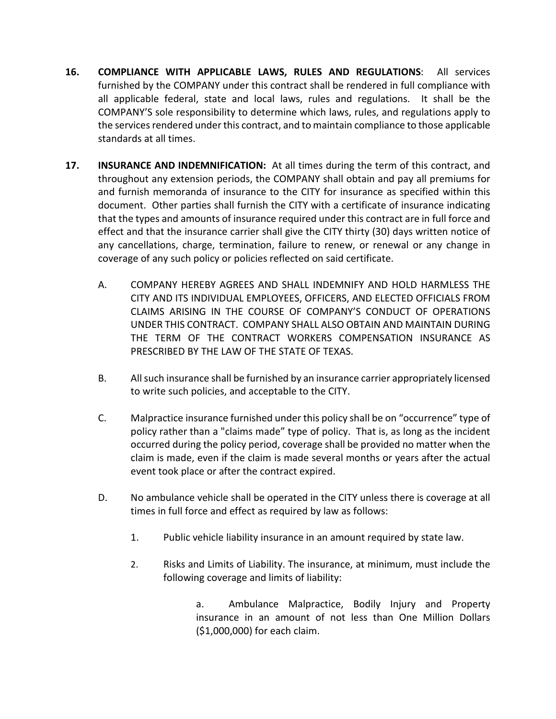- **16. COMPLIANCE WITH APPLICABLE LAWS, RULES AND REGULATIONS**: All services furnished by the COMPANY under this contract shall be rendered in full compliance with all applicable federal, state and local laws, rules and regulations. It shall be the COMPANY'S sole responsibility to determine which laws, rules, and regulations apply to the services rendered under this contract, and to maintain compliance to those applicable standards at all times.
- **17. INSURANCE AND INDEMNIFICATION:** At all times during the term of this contract, and throughout any extension periods, the COMPANY shall obtain and pay all premiums for and furnish memoranda of insurance to the CITY for insurance as specified within this document. Other parties shall furnish the CITY with a certificate of insurance indicating that the types and amounts of insurance required under this contract are in full force and effect and that the insurance carrier shall give the CITY thirty (30) days written notice of any cancellations, charge, termination, failure to renew, or renewal or any change in coverage of any such policy or policies reflected on said certificate.
	- A. COMPANY HEREBY AGREES AND SHALL INDEMNIFY AND HOLD HARMLESS THE CITY AND ITS INDIVIDUAL EMPLOYEES, OFFICERS, AND ELECTED OFFICIALS FROM CLAIMS ARISING IN THE COURSE OF COMPANY'S CONDUCT OF OPERATIONS UNDER THIS CONTRACT. COMPANY SHALL ALSO OBTAIN AND MAINTAIN DURING THE TERM OF THE CONTRACT WORKERS COMPENSATION INSURANCE AS PRESCRIBED BY THE LAW OF THE STATE OF TEXAS.
	- B. All such insurance shall be furnished by an insurance carrier appropriately licensed to write such policies, and acceptable to the CITY.
	- C. Malpractice insurance furnished under this policy shall be on "occurrence" type of policy rather than a "claims made" type of policy. That is, as long as the incident occurred during the policy period, coverage shall be provided no matter when the claim is made, even if the claim is made several months or years after the actual event took place or after the contract expired.
	- D. No ambulance vehicle shall be operated in the CITY unless there is coverage at all times in full force and effect as required by law as follows:
		- 1. Public vehicle liability insurance in an amount required by state law.
		- 2. Risks and Limits of Liability. The insurance, at minimum, must include the following coverage and limits of liability:

a. Ambulance Malpractice, Bodily Injury and Property insurance in an amount of not less than One Million Dollars (\$1,000,000) for each claim.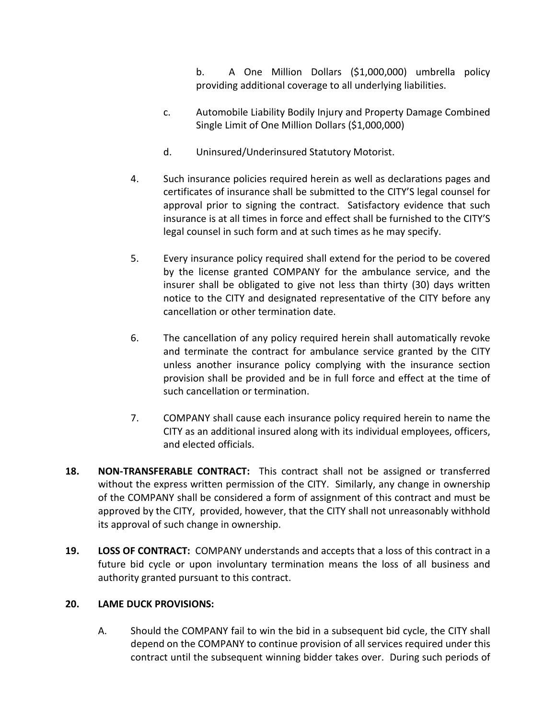b. A One Million Dollars (\$1,000,000) umbrella policy providing additional coverage to all underlying liabilities.

- c. Automobile Liability Bodily Injury and Property Damage Combined Single Limit of One Million Dollars (\$1,000,000)
- d. Uninsured/Underinsured Statutory Motorist.
- 4. Such insurance policies required herein as well as declarations pages and certificates of insurance shall be submitted to the CITY'S legal counsel for approval prior to signing the contract. Satisfactory evidence that such insurance is at all times in force and effect shall be furnished to the CITY'S legal counsel in such form and at such times as he may specify.
- 5. Every insurance policy required shall extend for the period to be covered by the license granted COMPANY for the ambulance service, and the insurer shall be obligated to give not less than thirty (30) days written notice to the CITY and designated representative of the CITY before any cancellation or other termination date.
- 6. The cancellation of any policy required herein shall automatically revoke and terminate the contract for ambulance service granted by the CITY unless another insurance policy complying with the insurance section provision shall be provided and be in full force and effect at the time of such cancellation or termination.
- 7. COMPANY shall cause each insurance policy required herein to name the CITY as an additional insured along with its individual employees, officers, and elected officials.
- **18. NON-TRANSFERABLE CONTRACT:** This contract shall not be assigned or transferred without the express written permission of the CITY. Similarly, any change in ownership of the COMPANY shall be considered a form of assignment of this contract and must be approved by the CITY, provided, however, that the CITY shall not unreasonably withhold its approval of such change in ownership.
- **19. LOSS OF CONTRACT:** COMPANY understands and accepts that a loss of this contract in a future bid cycle or upon involuntary termination means the loss of all business and authority granted pursuant to this contract.

# **20. LAME DUCK PROVISIONS:**

A. Should the COMPANY fail to win the bid in a subsequent bid cycle, the CITY shall depend on the COMPANY to continue provision of all services required under this contract until the subsequent winning bidder takes over. During such periods of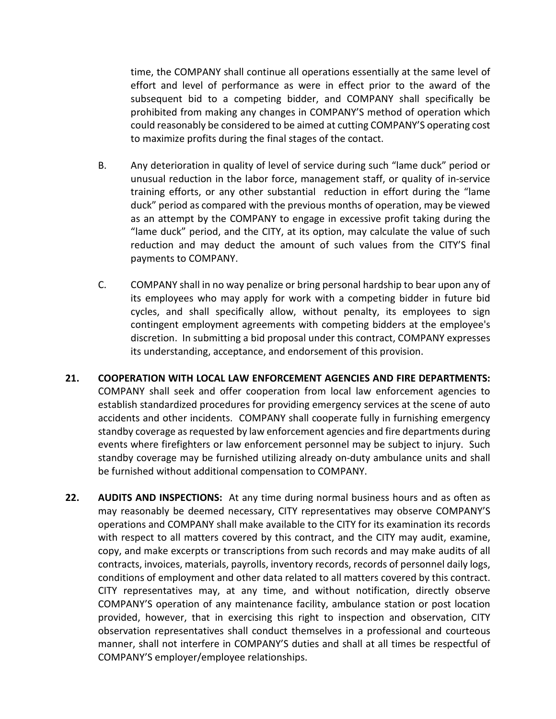time, the COMPANY shall continue all operations essentially at the same level of effort and level of performance as were in effect prior to the award of the subsequent bid to a competing bidder, and COMPANY shall specifically be prohibited from making any changes in COMPANY'S method of operation which could reasonably be considered to be aimed at cutting COMPANY'S operating cost to maximize profits during the final stages of the contact.

- B. Any deterioration in quality of level of service during such "lame duck" period or unusual reduction in the labor force, management staff, or quality of in-service training efforts, or any other substantial reduction in effort during the "lame duck" period as compared with the previous months of operation, may be viewed as an attempt by the COMPANY to engage in excessive profit taking during the "lame duck" period, and the CITY, at its option, may calculate the value of such reduction and may deduct the amount of such values from the CITY'S final payments to COMPANY.
- C. COMPANY shall in no way penalize or bring personal hardship to bear upon any of its employees who may apply for work with a competing bidder in future bid cycles, and shall specifically allow, without penalty, its employees to sign contingent employment agreements with competing bidders at the employee's discretion. In submitting a bid proposal under this contract, COMPANY expresses its understanding, acceptance, and endorsement of this provision.
- **21. COOPERATION WITH LOCAL LAW ENFORCEMENT AGENCIES AND FIRE DEPARTMENTS:** COMPANY shall seek and offer cooperation from local law enforcement agencies to establish standardized procedures for providing emergency services at the scene of auto accidents and other incidents. COMPANY shall cooperate fully in furnishing emergency standby coverage as requested by law enforcement agencies and fire departments during events where firefighters or law enforcement personnel may be subject to injury. Such standby coverage may be furnished utilizing already on-duty ambulance units and shall be furnished without additional compensation to COMPANY.
- **22. AUDITS AND INSPECTIONS:** At any time during normal business hours and as often as may reasonably be deemed necessary, CITY representatives may observe COMPANY'S operations and COMPANY shall make available to the CITY for its examination its records with respect to all matters covered by this contract, and the CITY may audit, examine, copy, and make excerpts or transcriptions from such records and may make audits of all contracts, invoices, materials, payrolls, inventory records, records of personnel daily logs, conditions of employment and other data related to all matters covered by this contract. CITY representatives may, at any time, and without notification, directly observe COMPANY'S operation of any maintenance facility, ambulance station or post location provided, however, that in exercising this right to inspection and observation, CITY observation representatives shall conduct themselves in a professional and courteous manner, shall not interfere in COMPANY'S duties and shall at all times be respectful of COMPANY'S employer/employee relationships.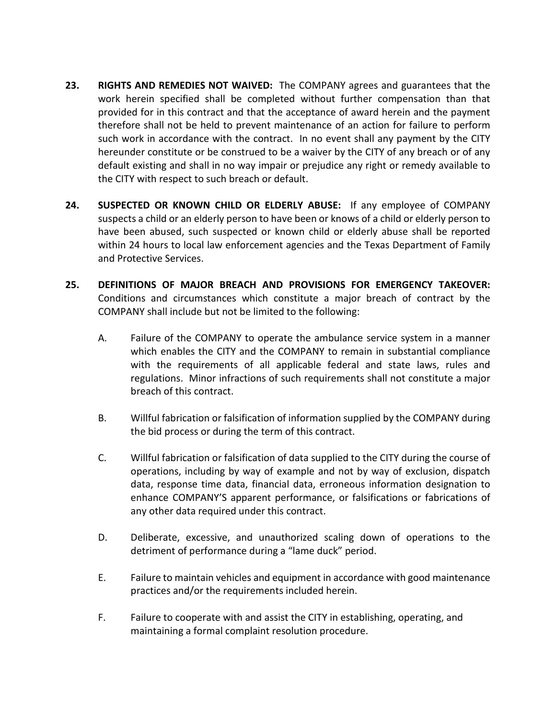- **23. RIGHTS AND REMEDIES NOT WAIVED:** The COMPANY agrees and guarantees that the work herein specified shall be completed without further compensation than that provided for in this contract and that the acceptance of award herein and the payment therefore shall not be held to prevent maintenance of an action for failure to perform such work in accordance with the contract. In no event shall any payment by the CITY hereunder constitute or be construed to be a waiver by the CITY of any breach or of any default existing and shall in no way impair or prejudice any right or remedy available to the CITY with respect to such breach or default.
- **24. SUSPECTED OR KNOWN CHILD OR ELDERLY ABUSE:** If any employee of COMPANY suspects a child or an elderly person to have been or knows of a child or elderly person to have been abused, such suspected or known child or elderly abuse shall be reported within 24 hours to local law enforcement agencies and the Texas Department of Family and Protective Services.
- **25. DEFINITIONS OF MAJOR BREACH AND PROVISIONS FOR EMERGENCY TAKEOVER:** Conditions and circumstances which constitute a major breach of contract by the COMPANY shall include but not be limited to the following:
	- A. Failure of the COMPANY to operate the ambulance service system in a manner which enables the CITY and the COMPANY to remain in substantial compliance with the requirements of all applicable federal and state laws, rules and regulations. Minor infractions of such requirements shall not constitute a major breach of this contract.
	- B. Willful fabrication or falsification of information supplied by the COMPANY during the bid process or during the term of this contract.
	- C. Willful fabrication or falsification of data supplied to the CITY during the course of operations, including by way of example and not by way of exclusion, dispatch data, response time data, financial data, erroneous information designation to enhance COMPANY'S apparent performance, or falsifications or fabrications of any other data required under this contract.
	- D. Deliberate, excessive, and unauthorized scaling down of operations to the detriment of performance during a "lame duck" period.
	- E. Failure to maintain vehicles and equipment in accordance with good maintenance practices and/or the requirements included herein.
	- F. Failure to cooperate with and assist the CITY in establishing, operating, and maintaining a formal complaint resolution procedure.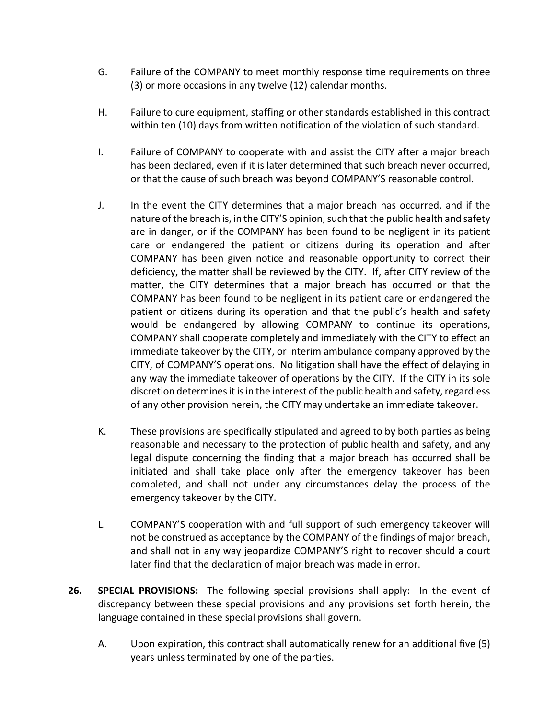- G. Failure of the COMPANY to meet monthly response time requirements on three (3) or more occasions in any twelve (12) calendar months.
- H. Failure to cure equipment, staffing or other standards established in this contract within ten (10) days from written notification of the violation of such standard.
- I. Failure of COMPANY to cooperate with and assist the CITY after a major breach has been declared, even if it is later determined that such breach never occurred, or that the cause of such breach was beyond COMPANY'S reasonable control.
- J. In the event the CITY determines that a major breach has occurred, and if the nature of the breach is, in the CITY'S opinion, such that the public health and safety are in danger, or if the COMPANY has been found to be negligent in its patient care or endangered the patient or citizens during its operation and after COMPANY has been given notice and reasonable opportunity to correct their deficiency, the matter shall be reviewed by the CITY. If, after CITY review of the matter, the CITY determines that a major breach has occurred or that the COMPANY has been found to be negligent in its patient care or endangered the patient or citizens during its operation and that the public's health and safety would be endangered by allowing COMPANY to continue its operations, COMPANY shall cooperate completely and immediately with the CITY to effect an immediate takeover by the CITY, or interim ambulance company approved by the CITY, of COMPANY'S operations. No litigation shall have the effect of delaying in any way the immediate takeover of operations by the CITY. If the CITY in its sole discretion determines it is in the interest of the public health and safety, regardless of any other provision herein, the CITY may undertake an immediate takeover.
- K. These provisions are specifically stipulated and agreed to by both parties as being reasonable and necessary to the protection of public health and safety, and any legal dispute concerning the finding that a major breach has occurred shall be initiated and shall take place only after the emergency takeover has been completed, and shall not under any circumstances delay the process of the emergency takeover by the CITY.
- L. COMPANY'S cooperation with and full support of such emergency takeover will not be construed as acceptance by the COMPANY of the findings of major breach, and shall not in any way jeopardize COMPANY'S right to recover should a court later find that the declaration of major breach was made in error.
- **26. SPECIAL PROVISIONS:** The following special provisions shall apply: In the event of discrepancy between these special provisions and any provisions set forth herein, the language contained in these special provisions shall govern.
	- A. Upon expiration, this contract shall automatically renew for an additional five (5) years unless terminated by one of the parties.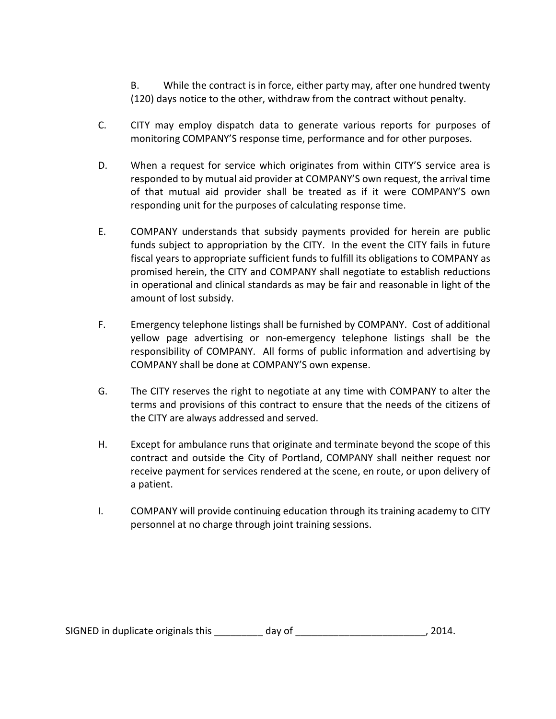B. While the contract is in force, either party may, after one hundred twenty (120) days notice to the other, withdraw from the contract without penalty.

- C. CITY may employ dispatch data to generate various reports for purposes of monitoring COMPANY'S response time, performance and for other purposes.
- D. When a request for service which originates from within CITY'S service area is responded to by mutual aid provider at COMPANY'S own request, the arrival time of that mutual aid provider shall be treated as if it were COMPANY'S own responding unit for the purposes of calculating response time.
- E. COMPANY understands that subsidy payments provided for herein are public funds subject to appropriation by the CITY. In the event the CITY fails in future fiscal years to appropriate sufficient funds to fulfill its obligations to COMPANY as promised herein, the CITY and COMPANY shall negotiate to establish reductions in operational and clinical standards as may be fair and reasonable in light of the amount of lost subsidy.
- F. Emergency telephone listings shall be furnished by COMPANY. Cost of additional yellow page advertising or non-emergency telephone listings shall be the responsibility of COMPANY. All forms of public information and advertising by COMPANY shall be done at COMPANY'S own expense.
- G. The CITY reserves the right to negotiate at any time with COMPANY to alter the terms and provisions of this contract to ensure that the needs of the citizens of the CITY are always addressed and served.
- H. Except for ambulance runs that originate and terminate beyond the scope of this contract and outside the City of Portland, COMPANY shall neither request nor receive payment for services rendered at the scene, en route, or upon delivery of a patient.
- I. COMPANY will provide continuing education through its training academy to CITY personnel at no charge through joint training sessions.

SIGNED in duplicate originals this \_\_\_\_\_\_\_\_ day of \_\_\_\_\_\_\_\_\_\_\_\_\_\_\_\_\_\_\_\_\_\_\_\_\_\_\_, 2014.